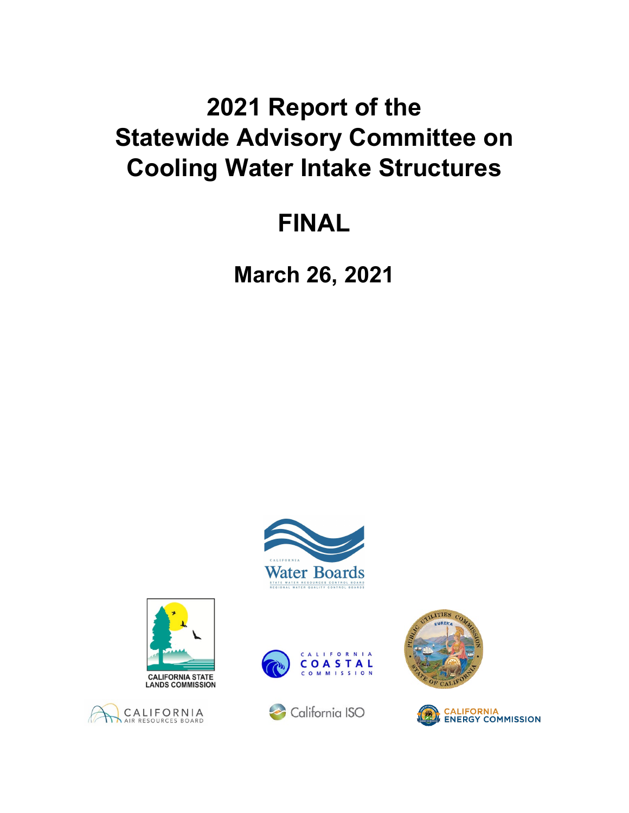# **2021 Report of the Statewide Advisory Committee on Cooling Water Intake Structures**

# **FINAL**

**March 26, 2021**













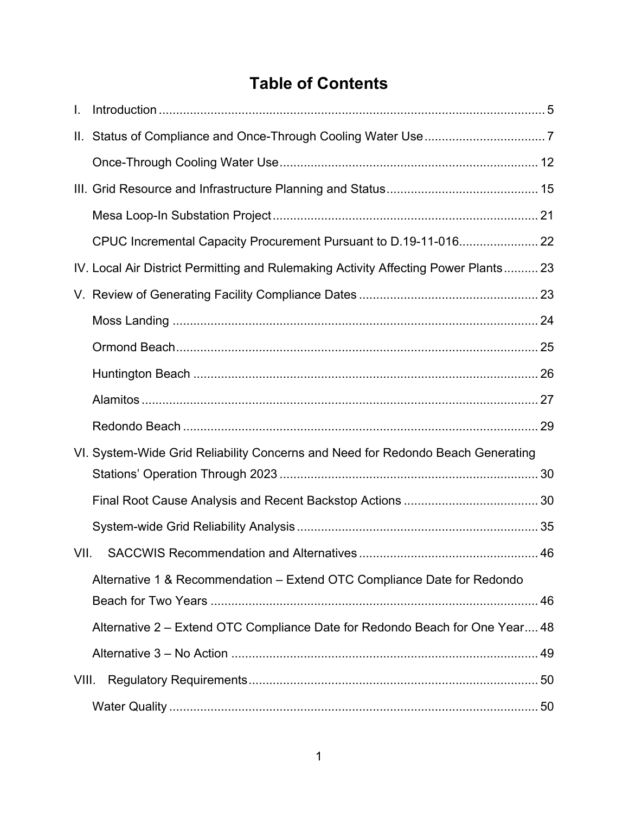# **Table of Contents**

| I.    |                                                                                     |  |
|-------|-------------------------------------------------------------------------------------|--|
|       |                                                                                     |  |
|       |                                                                                     |  |
|       |                                                                                     |  |
|       |                                                                                     |  |
|       |                                                                                     |  |
|       | IV. Local Air District Permitting and Rulemaking Activity Affecting Power Plants 23 |  |
|       |                                                                                     |  |
|       |                                                                                     |  |
|       |                                                                                     |  |
|       |                                                                                     |  |
|       |                                                                                     |  |
|       |                                                                                     |  |
|       | VI. System-Wide Grid Reliability Concerns and Need for Redondo Beach Generating     |  |
|       |                                                                                     |  |
|       |                                                                                     |  |
|       |                                                                                     |  |
| VII.  |                                                                                     |  |
|       | Alternative 1 & Recommendation - Extend OTC Compliance Date for Redondo             |  |
|       | Alternative 2 – Extend OTC Compliance Date for Redondo Beach for One Year 48        |  |
|       |                                                                                     |  |
| VIII. |                                                                                     |  |
|       |                                                                                     |  |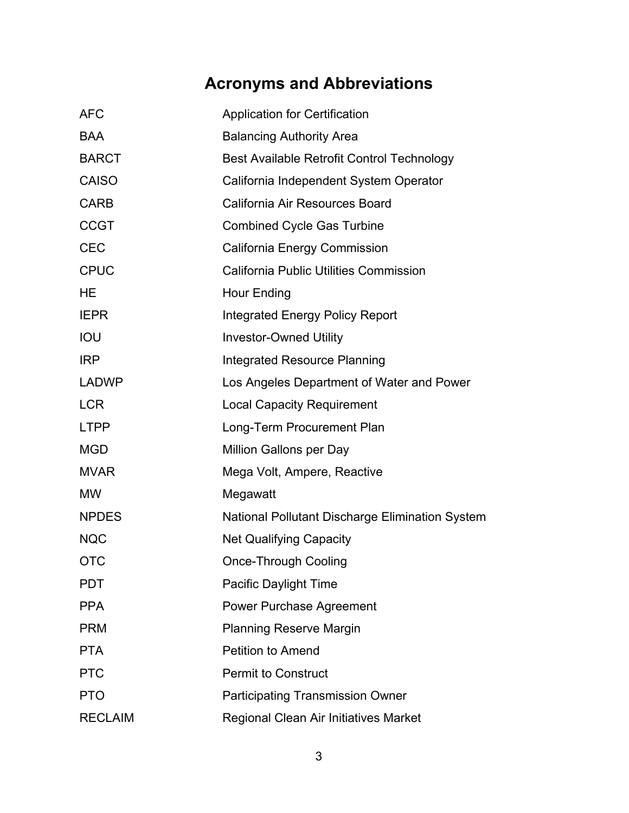# **Acronyms and Abbreviations**

| <b>AFC</b>     | <b>Application for Certification</b>            |  |  |  |
|----------------|-------------------------------------------------|--|--|--|
| <b>BAA</b>     | <b>Balancing Authority Area</b>                 |  |  |  |
| <b>BARCT</b>   | Best Available Retrofit Control Technology      |  |  |  |
| <b>CAISO</b>   | California Independent System Operator          |  |  |  |
| <b>CARB</b>    | California Air Resources Board                  |  |  |  |
| <b>CCGT</b>    | <b>Combined Cycle Gas Turbine</b>               |  |  |  |
| <b>CEC</b>     | <b>California Energy Commission</b>             |  |  |  |
| <b>CPUC</b>    | <b>California Public Utilities Commission</b>   |  |  |  |
| HE             | <b>Hour Ending</b>                              |  |  |  |
| <b>IEPR</b>    | <b>Integrated Energy Policy Report</b>          |  |  |  |
| IOU            | <b>Investor-Owned Utility</b>                   |  |  |  |
| <b>IRP</b>     | <b>Integrated Resource Planning</b>             |  |  |  |
| <b>LADWP</b>   | Los Angeles Department of Water and Power       |  |  |  |
| <b>LCR</b>     | <b>Local Capacity Requirement</b>               |  |  |  |
| <b>LTPP</b>    | Long-Term Procurement Plan                      |  |  |  |
| <b>MGD</b>     | <b>Million Gallons per Day</b>                  |  |  |  |
| <b>MVAR</b>    | Mega Volt, Ampere, Reactive                     |  |  |  |
| <b>MW</b>      | Megawatt                                        |  |  |  |
| <b>NPDES</b>   | National Pollutant Discharge Elimination System |  |  |  |
| <b>NQC</b>     | <b>Net Qualifying Capacity</b>                  |  |  |  |
| <b>OTC</b>     | <b>Once-Through Cooling</b>                     |  |  |  |
| <b>PDT</b>     | Pacific Daylight Time                           |  |  |  |
| <b>PPA</b>     | Power Purchase Agreement                        |  |  |  |
| <b>PRM</b>     | <b>Planning Reserve Margin</b>                  |  |  |  |
| <b>PTA</b>     | <b>Petition to Amend</b>                        |  |  |  |
| <b>PTC</b>     | <b>Permit to Construct</b>                      |  |  |  |
| <b>PTO</b>     | <b>Participating Transmission Owner</b>         |  |  |  |
| <b>RECLAIM</b> | Regional Clean Air Initiatives Market           |  |  |  |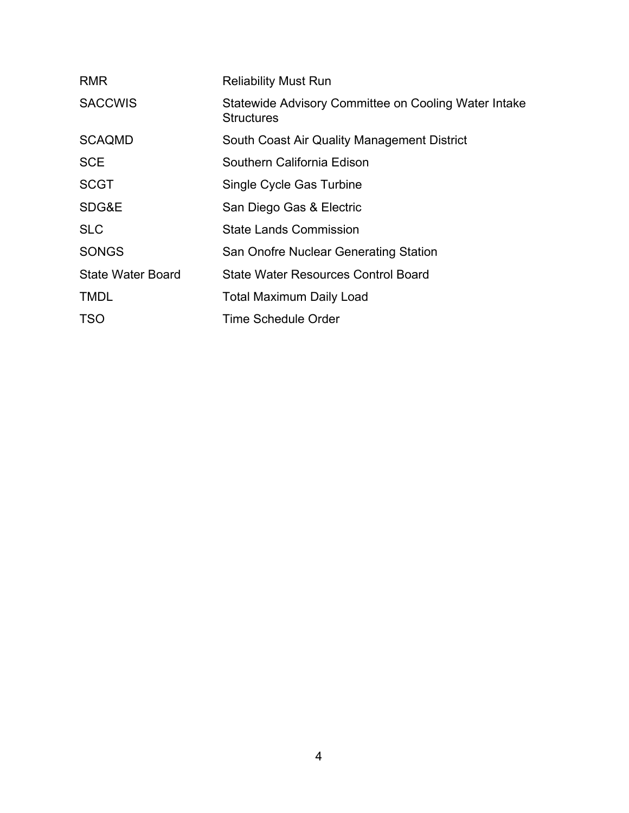| <b>RMR</b>               | <b>Reliability Must Run</b>                                               |
|--------------------------|---------------------------------------------------------------------------|
| <b>SACCWIS</b>           | Statewide Advisory Committee on Cooling Water Intake<br><b>Structures</b> |
| <b>SCAQMD</b>            | South Coast Air Quality Management District                               |
| <b>SCE</b>               | Southern California Edison                                                |
| <b>SCGT</b>              | Single Cycle Gas Turbine                                                  |
| SDG&E                    | San Diego Gas & Electric                                                  |
| <b>SLC</b>               | <b>State Lands Commission</b>                                             |
| <b>SONGS</b>             | <b>San Onofre Nuclear Generating Station</b>                              |
| <b>State Water Board</b> | <b>State Water Resources Control Board</b>                                |
| <b>TMDL</b>              | <b>Total Maximum Daily Load</b>                                           |
| <b>TSO</b>               | Time Schedule Order                                                       |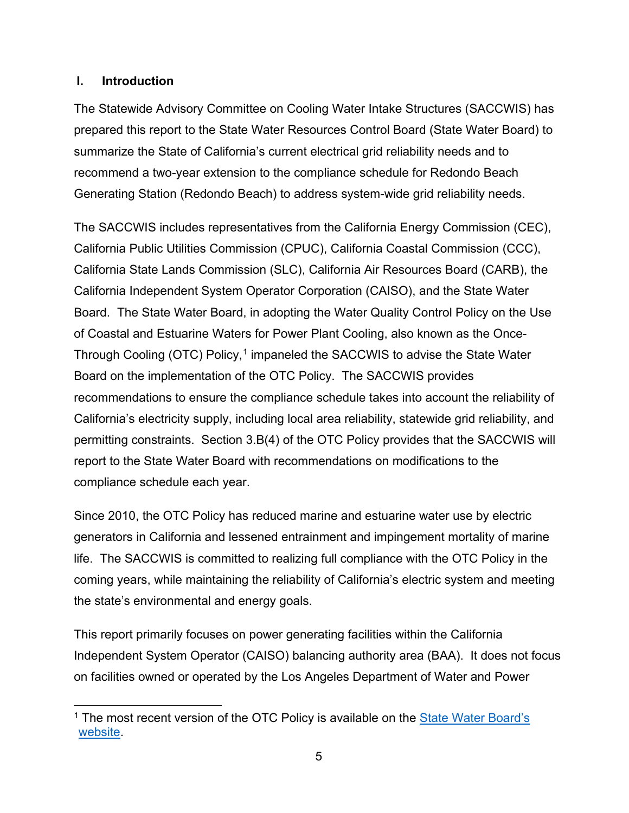#### <span id="page-5-0"></span>**I. Introduction**

The Statewide Advisory Committee on Cooling Water Intake Structures (SACCWIS) has prepared this report to the State Water Resources Control Board (State Water Board) to summarize the State of California's current electrical grid reliability needs and to recommend a two-year extension to the compliance schedule for Redondo Beach Generating Station (Redondo Beach) to address system-wide grid reliability needs.

The SACCWIS includes representatives from the California Energy Commission (CEC), California Public Utilities Commission (CPUC), California Coastal Commission (CCC), California State Lands Commission (SLC), California Air Resources Board (CARB), the California Independent System Operator Corporation (CAISO), and the State Water Board. The State Water Board, in adopting the Water Quality Control Policy on the Use of Coastal and Estuarine Waters for Power Plant Cooling, also known as the Once-Through Cooling (OTC) Policy, [1](#page-5-1) impaneled the SACCWIS to advise the State Water Board on the implementation of the OTC Policy. The SACCWIS provides recommendations to ensure the compliance schedule takes into account the reliability of California's electricity supply, including local area reliability, statewide grid reliability, and permitting constraints. Section 3.B(4) of the OTC Policy provides that the SACCWIS will report to the State Water Board with recommendations on modifications to the compliance schedule each year.

Since 2010, the OTC Policy has reduced marine and estuarine water use by electric generators in California and lessened entrainment and impingement mortality of marine life. The SACCWIS is committed to realizing full compliance with the OTC Policy in the coming years, while maintaining the reliability of California's electric system and meeting the state's environmental and energy goals.

This report primarily focuses on power generating facilities within the California Independent System Operator (CAISO) balancing authority area (BAA). It does not focus on facilities owned or operated by the Los Angeles Department of Water and Power

<span id="page-5-1"></span><sup>&</sup>lt;sup>1</sup> The most recent version of the OTC Policy is available on the State Water Board's [website.](https://www.waterboards.ca.gov/water_issues/programs/ocean/cwa316/policy.html)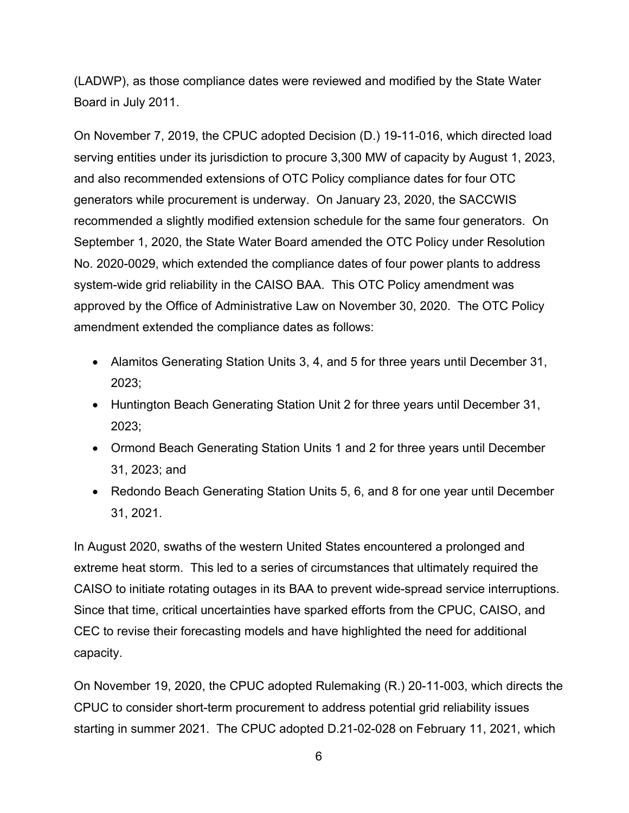(LADWP), as those compliance dates were reviewed and modified by the State Water Board in July 2011.

On November 7, 2019, the CPUC adopted Decision (D.) 19-11-016, which directed load serving entities under its jurisdiction to procure 3,300 MW of capacity by August 1, 2023, and also recommended extensions of OTC Policy compliance dates for four OTC generators while procurement is underway. On January 23, 2020, the SACCWIS recommended a slightly modified extension schedule for the same four generators. On September 1, 2020, the State Water Board amended the OTC Policy under Resolution No. 2020-0029, which extended the compliance dates of four power plants to address system-wide grid reliability in the CAISO BAA. This OTC Policy amendment was approved by the Office of Administrative Law on November 30, 2020. The OTC Policy amendment extended the compliance dates as follows:

- Alamitos Generating Station Units 3, 4, and 5 for three years until December 31, 2023;
- Huntington Beach Generating Station Unit 2 for three years until December 31, 2023;
- Ormond Beach Generating Station Units 1 and 2 for three years until December 31, 2023; and
- Redondo Beach Generating Station Units 5, 6, and 8 for one year until December 31, 2021.

In August 2020, swaths of the western United States encountered a prolonged and extreme heat storm. This led to a series of circumstances that ultimately required the CAISO to initiate rotating outages in its BAA to prevent wide-spread service interruptions. Since that time, critical uncertainties have sparked efforts from the CPUC, CAISO, and CEC to revise their forecasting models and have highlighted the need for additional capacity.

On November 19, 2020, the CPUC adopted Rulemaking (R.) 20-11-003, which directs the CPUC to consider short-term procurement to address potential grid reliability issues starting in summer 2021. The CPUC adopted D.21-02-028 on February 11, 2021, which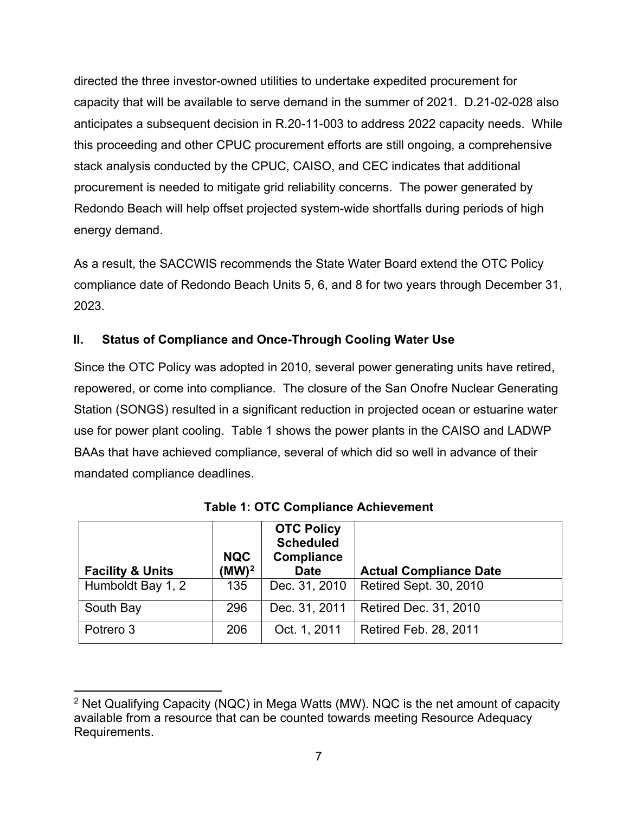directed the three investor-owned utilities to undertake expedited procurement for capacity that will be available to serve demand in the summer of 2021. D.21-02-028 also anticipates a subsequent decision in R.20-11-003 to address 2022 capacity needs. While this proceeding and other CPUC procurement efforts are still ongoing, a comprehensive stack analysis conducted by the CPUC, CAISO, and CEC indicates that additional procurement is needed to mitigate grid reliability concerns. The power generated by Redondo Beach will help offset projected system-wide shortfalls during periods of high energy demand.

As a result, the SACCWIS recommends the State Water Board extend the OTC Policy compliance date of Redondo Beach Units 5, 6, and 8 for two years through December 31, 2023.

# <span id="page-7-0"></span>**II. Status of Compliance and Once-Through Cooling Water Use**

Since the OTC Policy was adopted in 2010, several power generating units have retired, repowered, or come into compliance. The closure of the San Onofre Nuclear Generating Station (SONGS) resulted in a significant reduction in projected ocean or estuarine water use for power plant cooling. Table 1 shows the power plants in the CAISO and LADWP BAAs that have achieved compliance, several of which did so well in advance of their mandated compliance deadlines.

| <b>Facility &amp; Units</b> | <b>NQC</b><br>$(MW)^2$ | <b>OTC Policy</b><br><b>Scheduled</b><br>Compliance<br><b>Date</b> | <b>Actual Compliance Date</b> |
|-----------------------------|------------------------|--------------------------------------------------------------------|-------------------------------|
| Humboldt Bay 1, 2           | 135                    | Dec. 31, 2010                                                      | Retired Sept. 30, 2010        |
| South Bay                   | 296                    | Dec. 31, 2011                                                      | <b>Retired Dec. 31, 2010</b>  |
| Potrero 3                   | 206                    | Oct. 1, 2011                                                       | <b>Retired Feb. 28, 2011</b>  |

| <b>Table 1: OTC Compliance Achievement</b> |
|--------------------------------------------|
|--------------------------------------------|

<span id="page-7-1"></span><sup>2</sup> Net Qualifying Capacity (NQC) in Mega Watts (MW). NQC is the net amount of capacity available from a resource that can be counted towards meeting Resource Adequacy Requirements.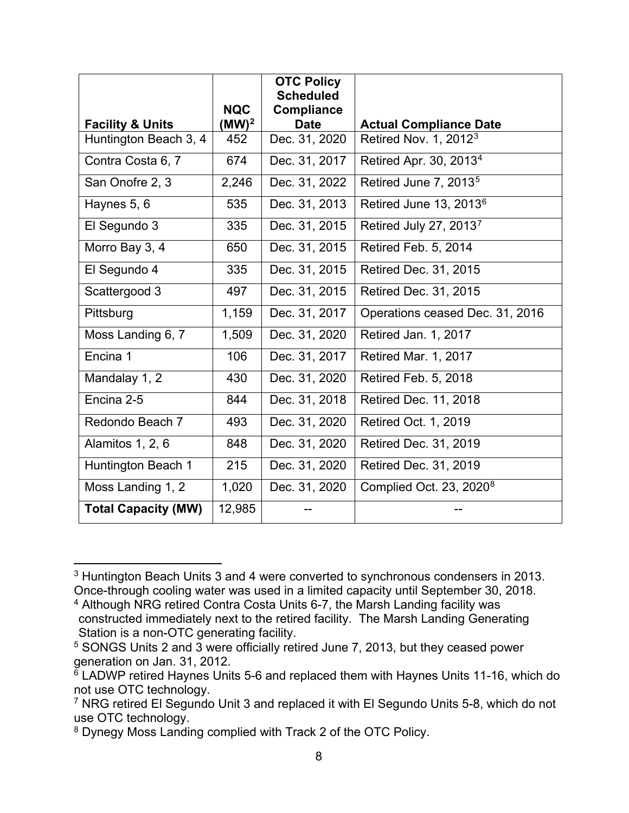|                             |                        | <b>OTC Policy</b><br><b>Scheduled</b> |                                     |
|-----------------------------|------------------------|---------------------------------------|-------------------------------------|
| <b>Facility &amp; Units</b> | <b>NQC</b><br>$(MW)^2$ | <b>Compliance</b><br><b>Date</b>      | <b>Actual Compliance Date</b>       |
| Huntington Beach 3, 4       | 452                    | Dec. 31, 2020                         | Retired Nov. 1, 2012 <sup>3</sup>   |
| Contra Costa 6, 7           | 674                    | Dec. 31, 2017                         | Retired Apr. 30, 2013 <sup>4</sup>  |
| San Onofre 2, 3             | 2,246                  | Dec. 31, 2022                         | Retired June 7, 2013 <sup>5</sup>   |
| Haynes 5, 6                 | 535                    | Dec. 31, 2013                         | Retired June 13, 2013 <sup>6</sup>  |
| El Segundo 3                | 335                    | Dec. 31, 2015                         | Retired July 27, 20137              |
| Morro Bay 3, 4              | 650                    | Dec. 31, 2015                         | Retired Feb. 5, 2014                |
| El Segundo 4                | 335                    | Dec. 31, 2015                         | Retired Dec. 31, 2015               |
| Scattergood 3               | 497                    | Dec. 31, 2015                         | Retired Dec. 31, 2015               |
| Pittsburg                   | 1,159                  | Dec. 31, 2017                         | Operations ceased Dec. 31, 2016     |
| Moss Landing 6, 7           | 1,509                  | Dec. 31, 2020                         | Retired Jan. 1, 2017                |
| Encina 1                    | 106                    | Dec. 31, 2017                         | <b>Retired Mar. 1, 2017</b>         |
| Mandalay 1, 2               | 430                    | Dec. 31, 2020                         | Retired Feb. 5, 2018                |
| Encina 2-5                  | 844                    | Dec. 31, 2018                         | Retired Dec. 11, 2018               |
| Redondo Beach 7             | 493                    | Dec. 31, 2020                         | Retired Oct. 1, 2019                |
| Alamitos 1, 2, 6            | 848                    | Dec. 31, 2020                         | Retired Dec. 31, 2019               |
| Huntington Beach 1          | 215                    | Dec. 31, 2020                         | Retired Dec. 31, 2019               |
| Moss Landing 1, 2           | 1,020                  | Dec. 31, 2020                         | Complied Oct. 23, 2020 <sup>8</sup> |
| <b>Total Capacity (MW)</b>  | 12,985                 |                                       |                                     |

<span id="page-8-0"></span><sup>3</sup> Huntington Beach Units 3 and 4 were converted to synchronous condensers in 2013. Once-through cooling water was used in a limited capacity until September 30, 2018.

<span id="page-8-1"></span><sup>4</sup> Although NRG retired Contra Costa Units 6-7, the Marsh Landing facility was constructed immediately next to the retired facility. The Marsh Landing Generating Station is a non-OTC generating facility.

<span id="page-8-2"></span><sup>5</sup> SONGS Units 2 and 3 were officially retired June 7, 2013, but they ceased power generation on Jan. 31, 2012.

<span id="page-8-3"></span> $\overline{6}$  LADWP retired Haynes Units 5-6 and replaced them with Haynes Units 11-16, which do not use OTC technology.

<span id="page-8-4"></span><sup>7</sup> NRG retired El Segundo Unit 3 and replaced it with El Segundo Units 5-8, which do not use OTC technology.

<span id="page-8-5"></span><sup>8</sup> Dynegy Moss Landing complied with Track 2 of the OTC Policy.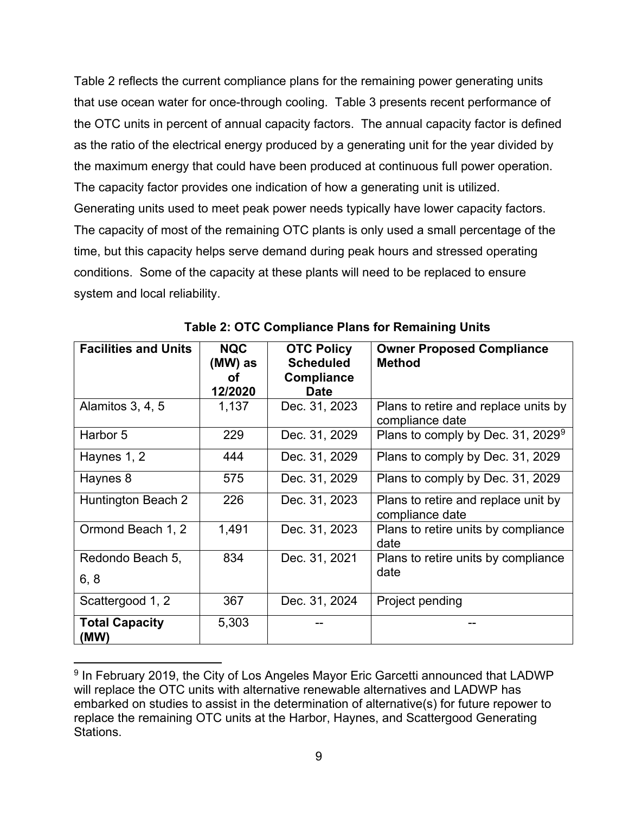Table 2 reflects the current compliance plans for the remaining power generating units that use ocean water for once-through cooling. Table 3 presents recent performance of the OTC units in percent of annual capacity factors. The annual capacity factor is defined as the ratio of the electrical energy produced by a generating unit for the year divided by the maximum energy that could have been produced at continuous full power operation. The capacity factor provides one indication of how a generating unit is utilized. Generating units used to meet peak power needs typically have lower capacity factors. The capacity of most of the remaining OTC plants is only used a small percentage of the time, but this capacity helps serve demand during peak hours and stressed operating conditions. Some of the capacity at these plants will need to be replaced to ensure system and local reliability.

| <b>Facilities and Units</b>   | <b>NQC</b><br>(MW) as<br>Ωf<br>12/2020 | <b>OTC Policy</b><br><b>Scheduled</b><br>Compliance<br><b>Date</b> | <b>Owner Proposed Compliance</b><br><b>Method</b>       |
|-------------------------------|----------------------------------------|--------------------------------------------------------------------|---------------------------------------------------------|
| Alamitos $3, 4, 5$            | 1,137                                  | Dec. 31, 2023                                                      | Plans to retire and replace units by<br>compliance date |
| Harbor 5                      | 229                                    | Dec. 31, 2029                                                      | Plans to comply by Dec. 31, 2029 <sup>9</sup>           |
| Haynes 1, 2                   | 444                                    | Dec. 31, 2029                                                      | Plans to comply by Dec. 31, 2029                        |
| Haynes 8                      | 575                                    | Dec. 31, 2029                                                      | Plans to comply by Dec. 31, 2029                        |
| Huntington Beach 2            | 226                                    | Dec. 31, 2023                                                      | Plans to retire and replace unit by<br>compliance date  |
| Ormond Beach 1, 2             | 1,491                                  | Dec. 31, 2023                                                      | Plans to retire units by compliance<br>date             |
| Redondo Beach 5,              | 834                                    | Dec. 31, 2021                                                      | Plans to retire units by compliance                     |
| 6, 8                          |                                        |                                                                    | date                                                    |
| Scattergood 1, 2              | 367                                    | Dec. 31, 2024                                                      | Project pending                                         |
| <b>Total Capacity</b><br>(MW) | 5,303                                  |                                                                    |                                                         |

**Table 2: OTC Compliance Plans for Remaining Units**

<span id="page-9-0"></span><sup>&</sup>lt;sup>9</sup> In February 2019, the City of Los Angeles Mayor Eric Garcetti announced that LADWP will replace the OTC units with alternative renewable alternatives and LADWP has embarked on studies to assist in the determination of alternative(s) for future repower to replace the remaining OTC units at the Harbor, Haynes, and Scattergood Generating Stations.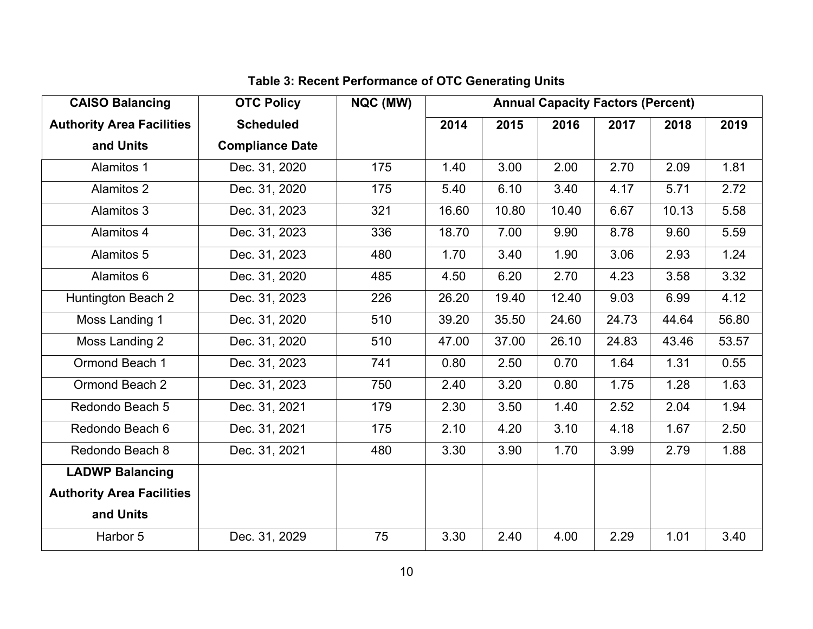| <b>CAISO Balancing</b>           | <b>OTC Policy</b>      | NQC (MW) | <b>Annual Capacity Factors (Percent)</b> |       |       |       |       |       |
|----------------------------------|------------------------|----------|------------------------------------------|-------|-------|-------|-------|-------|
| <b>Authority Area Facilities</b> | <b>Scheduled</b>       |          | 2014                                     | 2015  | 2016  | 2017  | 2018  | 2019  |
| and Units                        | <b>Compliance Date</b> |          |                                          |       |       |       |       |       |
| Alamitos 1                       | Dec. 31, 2020          | 175      | 1.40                                     | 3.00  | 2.00  | 2.70  | 2.09  | 1.81  |
| <b>Alamitos 2</b>                | Dec. 31, 2020          | 175      | 5.40                                     | 6.10  | 3.40  | 4.17  | 5.71  | 2.72  |
| Alamitos 3                       | Dec. 31, 2023          | 321      | 16.60                                    | 10.80 | 10.40 | 6.67  | 10.13 | 5.58  |
| Alamitos 4                       | Dec. 31, 2023          | 336      | 18.70                                    | 7.00  | 9.90  | 8.78  | 9.60  | 5.59  |
| Alamitos 5                       | Dec. 31, 2023          | 480      | 1.70                                     | 3.40  | 1.90  | 3.06  | 2.93  | 1.24  |
| Alamitos 6                       | Dec. 31, 2020          | 485      | 4.50                                     | 6.20  | 2.70  | 4.23  | 3.58  | 3.32  |
| Huntington Beach 2               | Dec. 31, 2023          | 226      | 26.20                                    | 19.40 | 12.40 | 9.03  | 6.99  | 4.12  |
| Moss Landing 1                   | Dec. 31, 2020          | 510      | 39.20                                    | 35.50 | 24.60 | 24.73 | 44.64 | 56.80 |
| Moss Landing 2                   | Dec. 31, 2020          | 510      | 47.00                                    | 37.00 | 26.10 | 24.83 | 43.46 | 53.57 |
| Ormond Beach 1                   | Dec. 31, 2023          | 741      | 0.80                                     | 2.50  | 0.70  | 1.64  | 1.31  | 0.55  |
| Ormond Beach 2                   | Dec. 31, 2023          | 750      | 2.40                                     | 3.20  | 0.80  | 1.75  | 1.28  | 1.63  |
| Redondo Beach 5                  | Dec. 31, 2021          | 179      | 2.30                                     | 3.50  | 1.40  | 2.52  | 2.04  | 1.94  |
| Redondo Beach 6                  | Dec. 31, 2021          | 175      | 2.10                                     | 4.20  | 3.10  | 4.18  | 1.67  | 2.50  |
| Redondo Beach 8                  | Dec. 31, 2021          | 480      | 3.30                                     | 3.90  | 1.70  | 3.99  | 2.79  | 1.88  |
| <b>LADWP Balancing</b>           |                        |          |                                          |       |       |       |       |       |
| <b>Authority Area Facilities</b> |                        |          |                                          |       |       |       |       |       |
| and Units                        |                        |          |                                          |       |       |       |       |       |
| Harbor 5                         | Dec. 31, 2029          | 75       | 3.30                                     | 2.40  | 4.00  | 2.29  | 1.01  | 3.40  |

# **Table 3: Recent Performance of OTC Generating Units**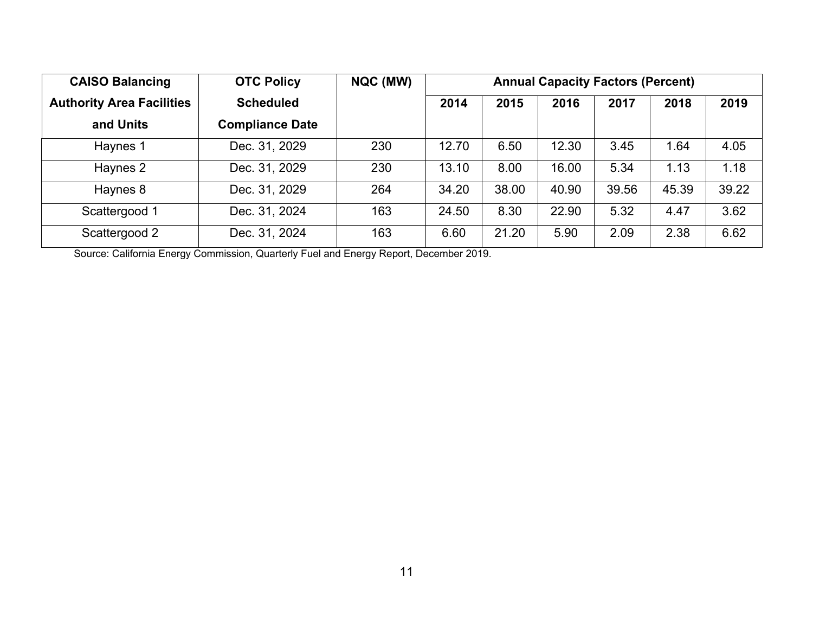| <b>CAISO Balancing</b>           | <b>OTC Policy</b>      | NQC (MW) | <b>Annual Capacity Factors (Percent)</b> |       |       |       |       |       |
|----------------------------------|------------------------|----------|------------------------------------------|-------|-------|-------|-------|-------|
| <b>Authority Area Facilities</b> | <b>Scheduled</b>       |          | 2014                                     | 2015  | 2016  | 2017  | 2018  | 2019  |
| and Units                        | <b>Compliance Date</b> |          |                                          |       |       |       |       |       |
| Haynes 1                         | Dec. 31, 2029          | 230      | 12.70                                    | 6.50  | 12.30 | 3.45  | 1.64  | 4.05  |
| Haynes 2                         | Dec. 31, 2029          | 230      | 13.10                                    | 8.00  | 16.00 | 5.34  | 1.13  | 1.18  |
| Haynes 8                         | Dec. 31, 2029          | 264      | 34.20                                    | 38.00 | 40.90 | 39.56 | 45.39 | 39.22 |
| Scattergood 1                    | Dec. 31, 2024          | 163      | 24.50                                    | 8.30  | 22.90 | 5.32  | 4.47  | 3.62  |
| Scattergood 2                    | Dec. 31, 2024          | 163      | 6.60                                     | 21.20 | 5.90  | 2.09  | 2.38  | 6.62  |

Source: California Energy Commission, Quarterly Fuel and Energy Report, December 2019.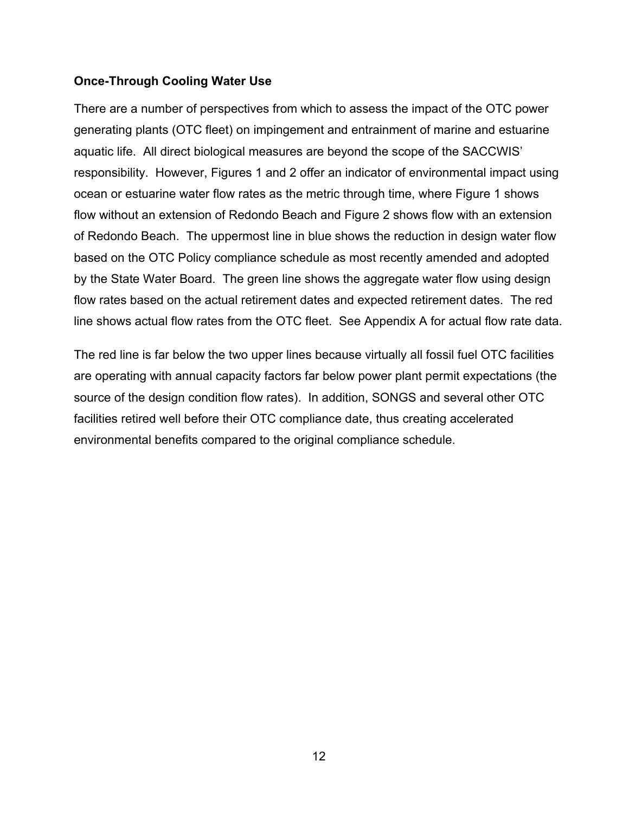#### <span id="page-12-0"></span>**Once-Through Cooling Water Use**

There are a number of perspectives from which to assess the impact of the OTC power generating plants (OTC fleet) on impingement and entrainment of marine and estuarine aquatic life. All direct biological measures are beyond the scope of the SACCWIS' responsibility. However, Figures 1 and 2 offer an indicator of environmental impact using ocean or estuarine water flow rates as the metric through time, where Figure 1 shows flow without an extension of Redondo Beach and Figure 2 shows flow with an extension of Redondo Beach. The uppermost line in blue shows the reduction in design water flow based on the OTC Policy compliance schedule as most recently amended and adopted by the State Water Board. The green line shows the aggregate water flow using design flow rates based on the actual retirement dates and expected retirement dates. The red line shows actual flow rates from the OTC fleet. See Appendix A for actual flow rate data.

The red line is far below the two upper lines because virtually all fossil fuel OTC facilities are operating with annual capacity factors far below power plant permit expectations (the source of the design condition flow rates). In addition, SONGS and several other OTC facilities retired well before their OTC compliance date, thus creating accelerated environmental benefits compared to the original compliance schedule.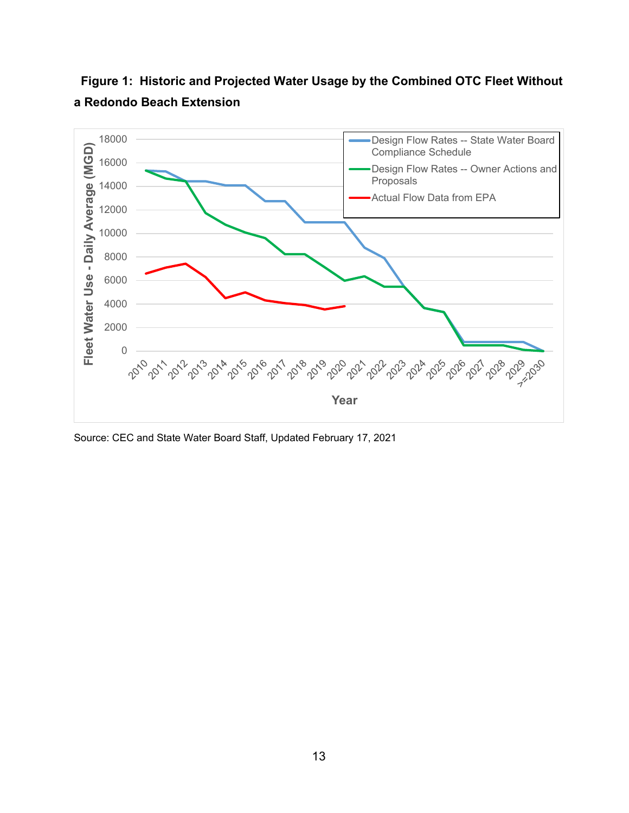

 **Figure 1: Historic and Projected Water Usage by the Combined OTC Fleet Without a Redondo Beach Extension**

Source: CEC and State Water Board Staff, Updated February 17, 2021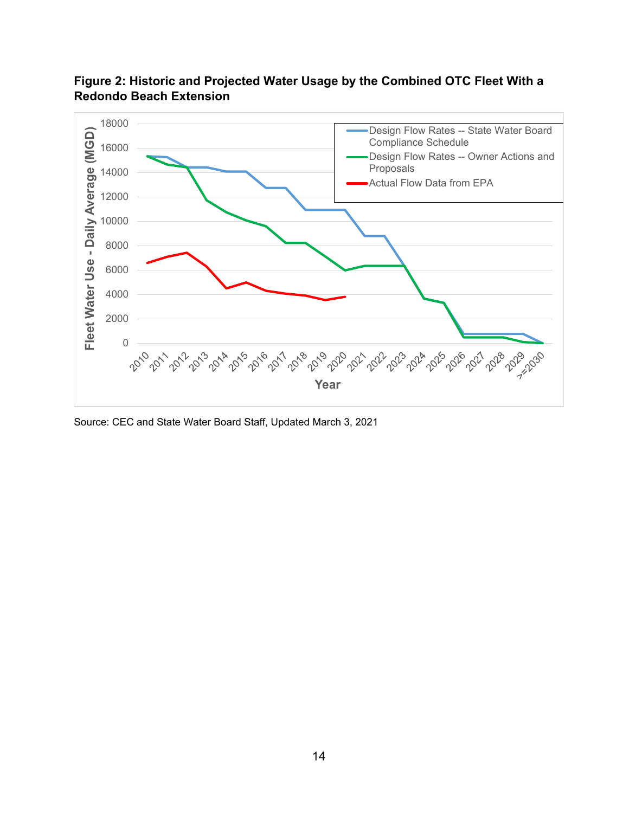

**Figure 2: Historic and Projected Water Usage by the Combined OTC Fleet With a Redondo Beach Extension**

Source: CEC and State Water Board Staff, Updated March 3, 2021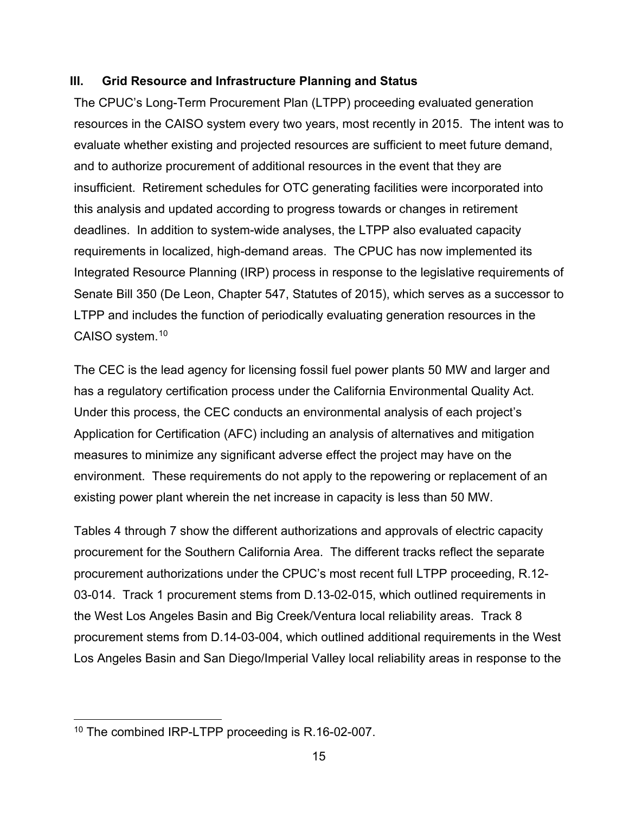#### <span id="page-15-0"></span>**III. Grid Resource and Infrastructure Planning and Status**

The CPUC's Long-Term Procurement Plan (LTPP) proceeding evaluated generation resources in the CAISO system every two years, most recently in 2015. The intent was to evaluate whether existing and projected resources are sufficient to meet future demand, and to authorize procurement of additional resources in the event that they are insufficient. Retirement schedules for OTC generating facilities were incorporated into this analysis and updated according to progress towards or changes in retirement deadlines. In addition to system-wide analyses, the LTPP also evaluated capacity requirements in localized, high-demand areas. The CPUC has now implemented its Integrated Resource Planning (IRP) process in response to the legislative requirements of Senate Bill 350 (De Leon, Chapter 547, Statutes of 2015), which serves as a successor to LTPP and includes the function of periodically evaluating generation resources in the CAISO system[.10](#page-15-1)

The CEC is the lead agency for licensing fossil fuel power plants 50 MW and larger and has a regulatory certification process under the California Environmental Quality Act. Under this process, the CEC conducts an environmental analysis of each project's Application for Certification (AFC) including an analysis of alternatives and mitigation measures to minimize any significant adverse effect the project may have on the environment. These requirements do not apply to the repowering or replacement of an existing power plant wherein the net increase in capacity is less than 50 MW.

Tables 4 through 7 show the different authorizations and approvals of electric capacity procurement for the Southern California Area. The different tracks reflect the separate procurement authorizations under the CPUC's most recent full LTPP proceeding, R.12- 03-014. Track 1 procurement stems from D.13-02-015, which outlined requirements in the West Los Angeles Basin and Big Creek/Ventura local reliability areas. Track 8 procurement stems from D.14-03-004, which outlined additional requirements in the West Los Angeles Basin and San Diego/Imperial Valley local reliability areas in response to the

<span id="page-15-1"></span><sup>&</sup>lt;sup>10</sup> The combined IRP-LTPP proceeding is R.16-02-007.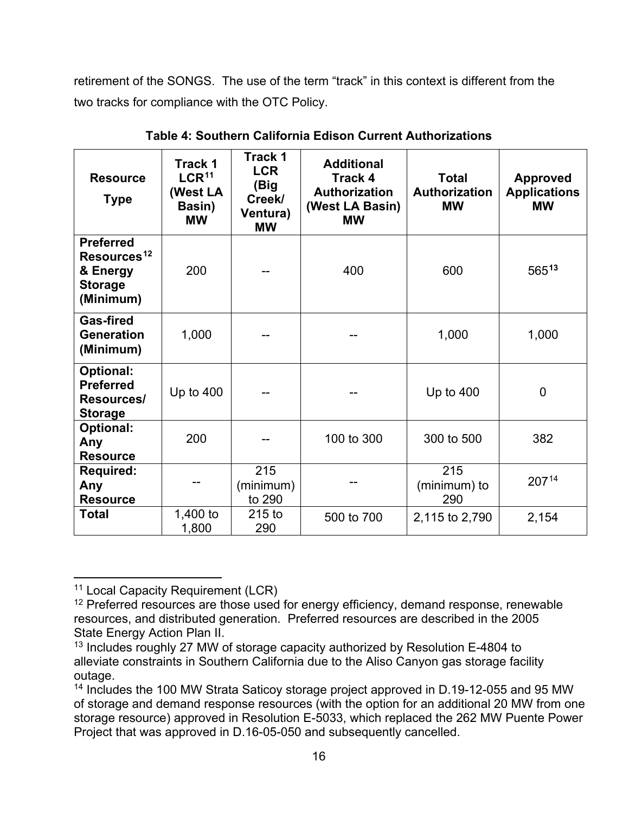retirement of the SONGS. The use of the term "track" in this context is different from the two tracks for compliance with the OTC Policy.

| <b>Resource</b><br><b>Type</b>                                                         | Track 1<br>LCR <sup>11</sup><br>(West LA<br>Basin)<br><b>MW</b> | <b>Track 1</b><br><b>LCR</b><br>(Big<br>Creek/<br>Ventura)<br><b>MW</b> | <b>Additional</b><br><b>Track 4</b><br><b>Authorization</b><br>(West LA Basin)<br><b>MW</b> | <b>Total</b><br>Authorization<br><b>MW</b> | <b>Approved</b><br><b>Applications</b><br><b>MW</b> |
|----------------------------------------------------------------------------------------|-----------------------------------------------------------------|-------------------------------------------------------------------------|---------------------------------------------------------------------------------------------|--------------------------------------------|-----------------------------------------------------|
| <b>Preferred</b><br>Resources <sup>12</sup><br>& Energy<br><b>Storage</b><br>(Minimum) | 200                                                             |                                                                         | 400                                                                                         | 600                                        | 56513                                               |
| <b>Gas-fired</b><br><b>Generation</b><br>(Minimum)                                     | 1,000                                                           |                                                                         |                                                                                             | 1,000                                      | 1,000                                               |
| Optional:<br><b>Preferred</b><br>Resources/<br><b>Storage</b>                          | Up to $400$                                                     |                                                                         |                                                                                             | Up to $400$                                | $\overline{0}$                                      |
| <b>Optional:</b><br>Any<br><b>Resource</b>                                             | 200                                                             |                                                                         | 100 to 300                                                                                  | 300 to 500                                 | 382                                                 |
| <b>Required:</b><br>Any<br><b>Resource</b>                                             |                                                                 | 215<br>(minimum)<br>to 290                                              |                                                                                             | 215<br>(minimum) to<br>290                 | 20714                                               |
| <b>Total</b>                                                                           | 1,400 to<br>1,800                                               | $215$ to<br>290                                                         | 500 to 700                                                                                  | 2,115 to 2,790                             | 2,154                                               |

**Table 4: Southern California Edison Current Authorizations**

<span id="page-16-0"></span><sup>&</sup>lt;sup>11</sup> Local Capacity Requirement (LCR)

<span id="page-16-1"></span><sup>&</sup>lt;sup>12</sup> Preferred resources are those used for energy efficiency, demand response, renewable resources, and distributed generation. Preferred resources are described in the 2005 State Energy Action Plan II.

<span id="page-16-2"></span><sup>&</sup>lt;sup>13</sup> Includes roughly 27 MW of storage capacity authorized by Resolution E-4804 to alleviate constraints in Southern California due to the Aliso Canyon gas storage facility outage.

<span id="page-16-3"></span><sup>&</sup>lt;sup>14</sup> Includes the 100 MW Strata Saticoy storage project approved in D.19-12-055 and 95 MW of storage and demand response resources (with the option for an additional 20 MW from one storage resource) approved in Resolution E-5033, which replaced the 262 MW Puente Power Project that was approved in D.16-05-050 and subsequently cancelled.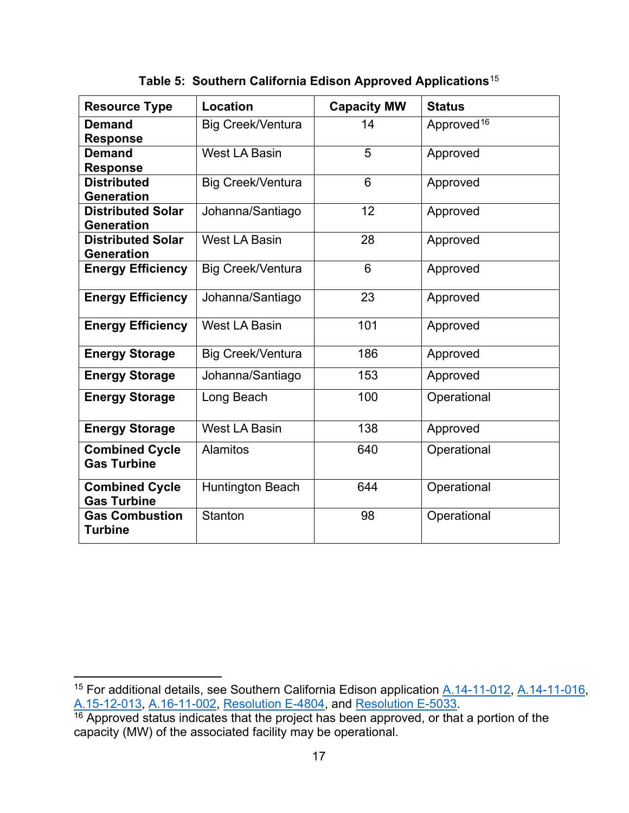| <b>Resource Type</b>                          | Location                 | <b>Capacity MW</b> | <b>Status</b>          |
|-----------------------------------------------|--------------------------|--------------------|------------------------|
| <b>Demand</b><br><b>Response</b>              | <b>Big Creek/Ventura</b> | 14                 | Approved <sup>16</sup> |
| <b>Demand</b><br><b>Response</b>              | <b>West LA Basin</b>     | 5                  | Approved               |
| <b>Distributed</b><br><b>Generation</b>       | <b>Big Creek/Ventura</b> | 6                  | Approved               |
| <b>Distributed Solar</b><br><b>Generation</b> | Johanna/Santiago         | 12                 | Approved               |
| <b>Distributed Solar</b><br><b>Generation</b> | <b>West LA Basin</b>     | 28                 | Approved               |
| <b>Energy Efficiency</b>                      | <b>Big Creek/Ventura</b> | 6                  | Approved               |
| <b>Energy Efficiency</b>                      | Johanna/Santiago         | 23                 | Approved               |
| <b>Energy Efficiency</b>                      | <b>West LA Basin</b>     | 101                | Approved               |
| <b>Energy Storage</b>                         | <b>Big Creek/Ventura</b> | 186                | Approved               |
| <b>Energy Storage</b>                         | Johanna/Santiago         | 153                | Approved               |
| <b>Energy Storage</b>                         | Long Beach               | 100                | Operational            |
| <b>Energy Storage</b>                         | West LA Basin            | 138                | Approved               |
| <b>Combined Cycle</b><br><b>Gas Turbine</b>   | <b>Alamitos</b>          | 640                | Operational            |
| <b>Combined Cycle</b><br><b>Gas Turbine</b>   | <b>Huntington Beach</b>  | 644                | Operational            |
| <b>Gas Combustion</b><br><b>Turbine</b>       | <b>Stanton</b>           | 98                 | Operational            |

**Table 5: Southern California Edison Approved Applications**[15](#page-17-0)

<span id="page-17-0"></span><sup>&</sup>lt;sup>15</sup> For additional details, see Southern California Edison application <u>A.14-11-012, A.14-11-016</u>,

<span id="page-17-1"></span><sup>&</sup>lt;u>[A.15-12-013,](https://docs.cpuc.ca.gov/PublishedDocs/Efile/G000/M156/K571/156571612.PDF) [A.16-11-002,](https://docs.cpuc.ca.gov/PublishedDocs/Efile/G000/M169/K917/169917051.PDF) [Resolution E-4804,](https://docs.cpuc.ca.gov/PublishedDocs/Published/G000/M167/K245/167245981.PDF)</u> and <u>Resolution E-5033</u>.<br><sup>16</sup> Approved status indicates that the project has been approved, or that a portion of the capacity (MW) of the associated facility may be operational.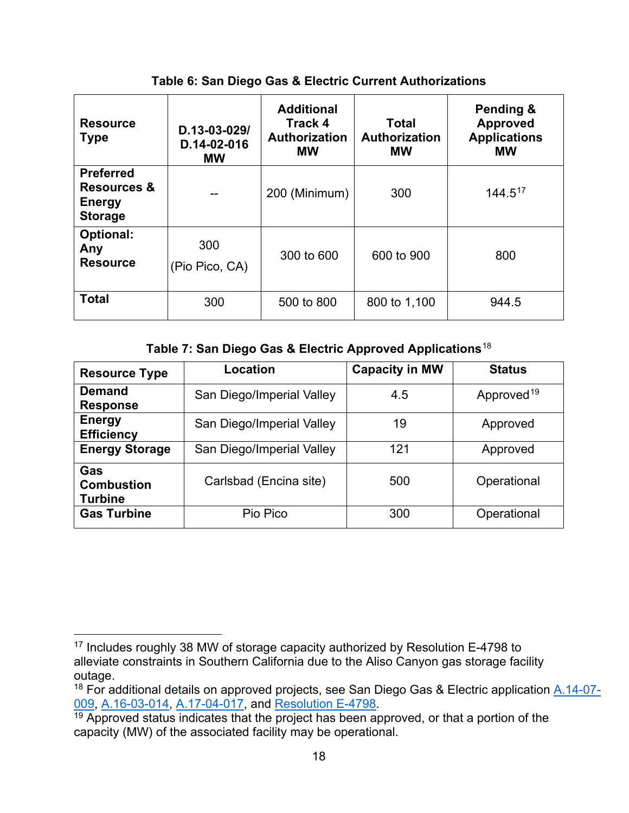| <b>Resource</b><br><b>Type</b>                                                | D.13-03-029/<br>D.14-02-016<br><b>MW</b> | <b>Additional</b><br>Track 4<br><b>Authorization</b><br><b>MW</b> | <b>Total</b><br>Authorization<br><b>MW</b> | Pending &<br><b>Approved</b><br><b>Applications</b><br><b>MW</b> |
|-------------------------------------------------------------------------------|------------------------------------------|-------------------------------------------------------------------|--------------------------------------------|------------------------------------------------------------------|
| <b>Preferred</b><br><b>Resources &amp;</b><br><b>Energy</b><br><b>Storage</b> |                                          | 200 (Minimum)                                                     | 300                                        | $144.5^{17}$                                                     |
| <b>Optional:</b><br>Any<br><b>Resource</b>                                    | 300<br>(Pio Pico, CA)                    | 300 to 600                                                        | 600 to 900                                 | 800                                                              |
| <b>Total</b>                                                                  | 300                                      | 500 to 800                                                        | 800 to 1,100                               | 944.5                                                            |

**Table 6: San Diego Gas & Electric Current Authorizations**

**Table 7: San Diego Gas & Electric Approved Applications**[18](#page-18-1)

| <b>Resource Type</b>                       | Location                  | <b>Capacity in MW</b> | <b>Status</b>          |  |
|--------------------------------------------|---------------------------|-----------------------|------------------------|--|
| <b>Demand</b><br><b>Response</b>           | San Diego/Imperial Valley | 4.5                   | Approved <sup>19</sup> |  |
| <b>Energy</b><br><b>Efficiency</b>         | San Diego/Imperial Valley | 19                    | Approved               |  |
| <b>Energy Storage</b>                      | San Diego/Imperial Valley | 121                   | Approved               |  |
| Gas<br><b>Combustion</b><br><b>Turbine</b> | Carlsbad (Encina site)    | 500                   | Operational            |  |
| <b>Gas Turbine</b>                         | Pio Pico                  | 300                   | Operational            |  |

<span id="page-18-0"></span><sup>&</sup>lt;sup>17</sup> Includes roughly 38 MW of storage capacity authorized by Resolution E-4798 to alleviate constraints in Southern California due to the Aliso Canyon gas storage facility outage.

<span id="page-18-1"></span><sup>&</sup>lt;sup>18</sup> For additional details on approved projects, see San Diego Gas & Electric application [A.14-07-](https://apps.cpuc.ca.gov/apex/f?p=401:56:0::NO:RP,57,RIR:P5_PROCEEDING_SELECT:A1407009) [009,](https://apps.cpuc.ca.gov/apex/f?p=401:56:0::NO:RP,57,RIR:P5_PROCEEDING_SELECT:A1407009) [A.16-03-014,](https://apps.cpuc.ca.gov/apex/f?p=401:56:0::NO:RP,57,RIR:P5_PROCEEDING_SELECT:A1603014) [A.17-04-017,](https://apps.cpuc.ca.gov/apex/f?p=401:56:0::NO:RP,57,RIR:P5_PROCEEDING_SELECT:A1704017) and [Resolution E-4798.](https://docs.cpuc.ca.gov/PublishedDocs/Published/G000/M166/K269/166269958.PDF)<br><sup>19</sup> Approved status indicates that the project has been approved, or that a portion of the

<span id="page-18-2"></span>capacity (MW) of the associated facility may be operational.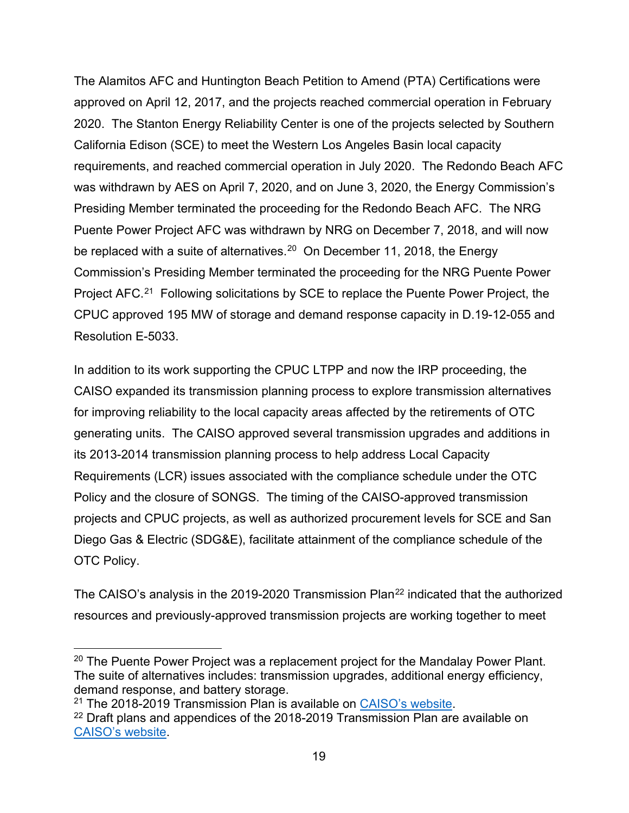The Alamitos AFC and Huntington Beach Petition to Amend (PTA) Certifications were approved on April 12, 2017, and the projects reached commercial operation in February 2020. The Stanton Energy Reliability Center is one of the projects selected by Southern California Edison (SCE) to meet the Western Los Angeles Basin local capacity requirements, and reached commercial operation in July 2020. The Redondo Beach AFC was withdrawn by AES on April 7, 2020, and on June 3, 2020, the Energy Commission's Presiding Member terminated the proceeding for the Redondo Beach AFC. The NRG Puente Power Project AFC was withdrawn by NRG on December 7, 2018, and will now be replaced with a suite of alternatives.<sup>20</sup> On December 11, 2018, the Energy Commission's Presiding Member terminated the proceeding for the NRG Puente Power Project AFC.<sup>[21](#page-19-1)</sup> Following solicitations by SCE to replace the Puente Power Project, the CPUC approved 195 MW of storage and demand response capacity in D.19-12-055 and Resolution E-5033.

In addition to its work supporting the CPUC LTPP and now the IRP proceeding, the CAISO expanded its transmission planning process to explore transmission alternatives for improving reliability to the local capacity areas affected by the retirements of OTC generating units. The CAISO approved several transmission upgrades and additions in its 2013-2014 transmission planning process to help address Local Capacity Requirements (LCR) issues associated with the compliance schedule under the OTC Policy and the closure of SONGS. The timing of the CAISO-approved transmission projects and CPUC projects, as well as authorized procurement levels for SCE and San Diego Gas & Electric (SDG&E), facilitate attainment of the compliance schedule of the OTC Policy.

The CAISO's analysis in the 2019-2020 Transmission Plan<sup>[22](#page-19-2)</sup> indicated that the authorized resources and previously-approved transmission projects are working together to meet

<span id="page-19-0"></span><sup>&</sup>lt;sup>20</sup> The Puente Power Project was a replacement project for the Mandalay Power Plant. The suite of alternatives includes: transmission upgrades, additional energy efficiency, demand response, and battery storage.<br><sup>21</sup> The 2018-2019 Transmission Plan is available on CAISO's website.

<span id="page-19-1"></span>

<span id="page-19-2"></span><sup>&</sup>lt;sup>22</sup> Draft plans and appendices of the 2018-2019 Transmission Plan are available on [CAISO's website.](http://www.caiso.com/Pages/documentsbygroup.aspx?GroupID=E17F9B56-753A-4A3D-B75E-ED763CD06C4A)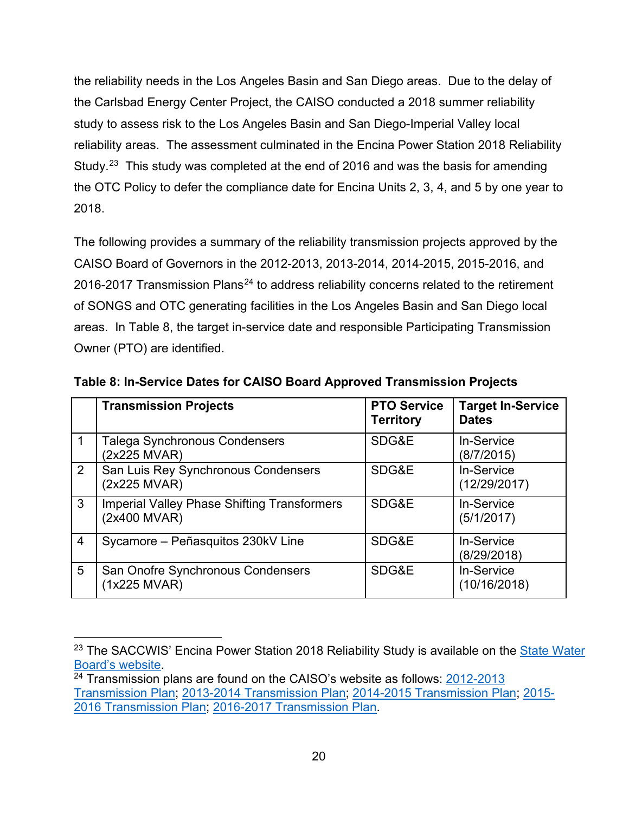the reliability needs in the Los Angeles Basin and San Diego areas. Due to the delay of the Carlsbad Energy Center Project, the CAISO conducted a 2018 summer reliability study to assess risk to the Los Angeles Basin and San Diego-Imperial Valley local reliability areas. The assessment culminated in the Encina Power Station 2018 Reliability Study.<sup>[23](#page-20-0)</sup> This study was completed at the end of 2016 and was the basis for amending the OTC Policy to defer the compliance date for Encina Units 2, 3, 4, and 5 by one year to 2018.

The following provides a summary of the reliability transmission projects approved by the CAISO Board of Governors in the 2012-2013, 2013-2014, 2014-2015, 2015-2016, and 2016-2017 Transmission Plans<sup>[24](#page-20-1)</sup> to address reliability concerns related to the retirement of SONGS and OTC generating facilities in the Los Angeles Basin and San Diego local areas. In Table 8, the target in-service date and responsible Participating Transmission Owner (PTO) are identified.

|                 | <b>Transmission Projects</b>                                       | <b>PTO Service</b><br><b>Territory</b> | <b>Target In-Service</b><br><b>Dates</b> |
|-----------------|--------------------------------------------------------------------|----------------------------------------|------------------------------------------|
|                 | Talega Synchronous Condensers<br>(2x225 MVAR)                      | SDG&E                                  | In-Service<br>(8/7/2015)                 |
| $\overline{2}$  | San Luis Rey Synchronous Condensers<br>(2x225 MVAR)                | SDG&E                                  | In-Service<br>(12/29/2017)               |
| 3               | <b>Imperial Valley Phase Shifting Transformers</b><br>(2x400 MVAR) | SDG&E                                  | In-Service<br>(5/1/2017)                 |
| $\overline{4}$  | Sycamore - Peñasquitos 230kV Line                                  | SDG&E                                  | <b>In-Service</b><br>(8/29/2018)         |
| $5\overline{)}$ | San Onofre Synchronous Condensers<br>(1x225 MVAR)                  | SDG&E                                  | In-Service<br>(10/16/2018)               |

**Table 8: In-Service Dates for CAISO Board Approved Transmission Projects**

<span id="page-20-0"></span><sup>&</sup>lt;sup>23</sup> The SACCWIS' Encina Power Station 2018 Reliability Study is available on the **State Water** [Board's website.](https://www.waterboards.ca.gov/water_issues/programs/ocean/cwa316/saccwis/docs/saccwis_encina_2018rpt.pdf)<br><sup>24</sup> Transmission plans are found on the CAISO's website as follows: 2012-2013

<span id="page-20-1"></span>[Transmission Plan;](http://www.caiso.com/Documents/BoardApproved2012-2013TransmissionPlan.pdf) [2013-2014 Transmission Plan;](http://www.caiso.com/Documents/Board-Approved2013-2014TransmissionPlan.pdf) [2014-2015 Transmission Plan;](http://www.caiso.com/Documents/Board-Approved2014-2015TransmissionPlan.pdf) [2015-](http://www.caiso.com/Documents/Board-Approved2015-2016TransmissionPlan.pdf) [2016 Transmission Plan;](http://www.caiso.com/Documents/Board-Approved2015-2016TransmissionPlan.pdf) [2016-2017 Transmission Plan.](http://www.caiso.com/Documents/Board-Approved_2016-2017TransmissionPlan.pdf)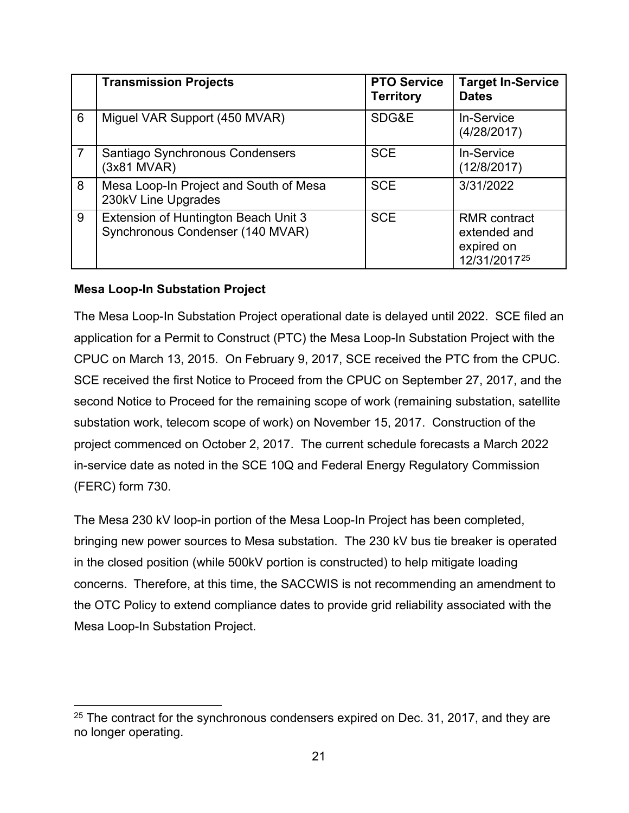|                | <b>Transmission Projects</b>                                             | <b>PTO Service</b><br><b>Territory</b> | <b>Target In-Service</b><br><b>Dates</b>                                      |
|----------------|--------------------------------------------------------------------------|----------------------------------------|-------------------------------------------------------------------------------|
| 6              | Miguel VAR Support (450 MVAR)                                            | SDG&E                                  | In-Service<br>(4/28/2017)                                                     |
| $\overline{7}$ | Santiago Synchronous Condensers<br>(3x81 MVAR)                           | <b>SCE</b>                             | In-Service<br>(12/8/2017)                                                     |
| 8              | Mesa Loop-In Project and South of Mesa<br>230kV Line Upgrades            | <b>SCE</b>                             | 3/31/2022                                                                     |
| 9              | Extension of Huntington Beach Unit 3<br>Synchronous Condenser (140 MVAR) | <b>SCE</b>                             | <b>RMR</b> contract<br>extended and<br>expired on<br>12/31/2017 <sup>25</sup> |

#### <span id="page-21-0"></span>**Mesa Loop-In Substation Project**

The Mesa Loop-In Substation Project operational date is delayed until 2022. SCE filed an application for a Permit to Construct (PTC) the Mesa Loop-In Substation Project with the CPUC on March 13, 2015. On February 9, 2017, SCE received the PTC from the CPUC. SCE received the first Notice to Proceed from the CPUC on September 27, 2017, and the second Notice to Proceed for the remaining scope of work (remaining substation, satellite substation work, telecom scope of work) on November 15, 2017. Construction of the project commenced on October 2, 2017. The current schedule forecasts a March 2022 in-service date as noted in the SCE 10Q and Federal Energy Regulatory Commission (FERC) form 730.

The Mesa 230 kV loop-in portion of the Mesa Loop-In Project has been completed, bringing new power sources to Mesa substation. The 230 kV bus tie breaker is operated in the closed position (while 500kV portion is constructed) to help mitigate loading concerns. Therefore, at this time, the SACCWIS is not recommending an amendment to the OTC Policy to extend compliance dates to provide grid reliability associated with the Mesa Loop-In Substation Project.

<span id="page-21-1"></span> $25$  The contract for the synchronous condensers expired on Dec. 31, 2017, and they are no longer operating.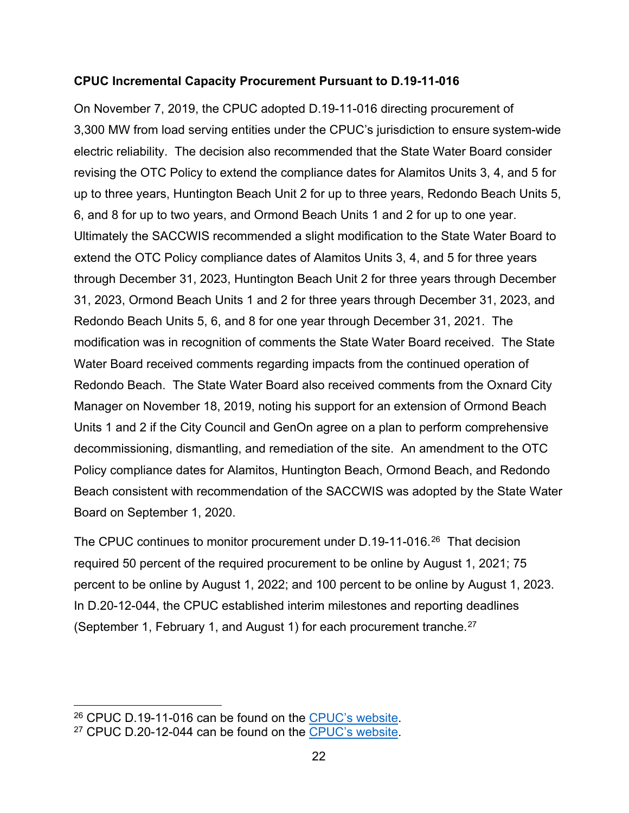#### <span id="page-22-0"></span>**CPUC Incremental Capacity Procurement Pursuant to D.19-11-016**

On November 7, 2019, the CPUC adopted D.19-11-016 directing procurement of 3,300 MW from load serving entities under the CPUC's jurisdiction to ensure system-wide electric reliability. The decision also recommended that the State Water Board consider revising the OTC Policy to extend the compliance dates for Alamitos Units 3, 4, and 5 for up to three years, Huntington Beach Unit 2 for up to three years, Redondo Beach Units 5, 6, and 8 for up to two years, and Ormond Beach Units 1 and 2 for up to one year. Ultimately the SACCWIS recommended a slight modification to the State Water Board to extend the OTC Policy compliance dates of Alamitos Units 3, 4, and 5 for three years through December 31, 2023, Huntington Beach Unit 2 for three years through December 31, 2023, Ormond Beach Units 1 and 2 for three years through December 31, 2023, and Redondo Beach Units 5, 6, and 8 for one year through December 31, 2021. The modification was in recognition of comments the State Water Board received. The State Water Board received comments regarding impacts from the continued operation of Redondo Beach. The State Water Board also received comments from the Oxnard City Manager on November 18, 2019, noting his support for an extension of Ormond Beach Units 1 and 2 if the City Council and GenOn agree on a plan to perform comprehensive decommissioning, dismantling, and remediation of the site. An amendment to the OTC Policy compliance dates for Alamitos, Huntington Beach, Ormond Beach, and Redondo Beach consistent with recommendation of the SACCWIS was adopted by the State Water Board on September 1, 2020.

The CPUC continues to monitor procurement under D.19-11-016.<sup>26</sup> That decision required 50 percent of the required procurement to be online by August 1, 2021; 75 percent to be online by August 1, 2022; and 100 percent to be online by August 1, 2023. In D.20-12-044, the CPUC established interim milestones and reporting deadlines (September 1, February 1, and August 1) for each procurement tranche.[27](#page-22-2)

<span id="page-22-2"></span><span id="page-22-1"></span><sup>&</sup>lt;sup>26</sup> CPUC D.19-11-016 can be found on the [CPUC's website.](https://docs.cpuc.ca.gov/PublishedDocs/Published/G000/M356/K271/356271811.PDF)<br><sup>27</sup> CPUC D.20-12-044 can be found on the CPUC's website.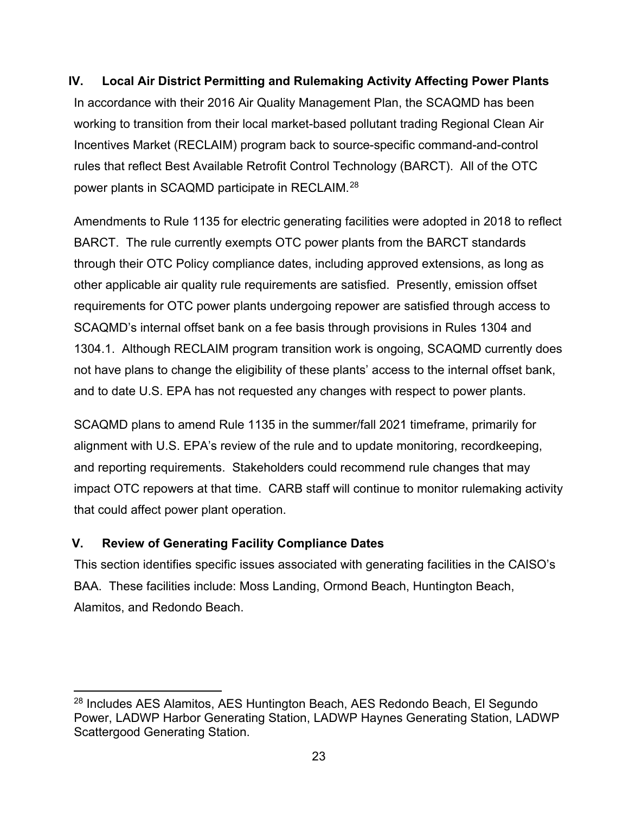#### <span id="page-23-0"></span>**IV. Local Air District Permitting and Rulemaking Activity Affecting Power Plants**

In accordance with their 2016 Air Quality Management Plan, the SCAQMD has been working to transition from their local market-based pollutant trading Regional Clean Air Incentives Market (RECLAIM) program back to source-specific command-and-control rules that reflect Best Available Retrofit Control Technology (BARCT). All of the OTC power plants in SCAQMD participate in RECLAIM.[28](#page-23-2)

Amendments to Rule 1135 for electric generating facilities were adopted in 2018 to reflect BARCT. The rule currently exempts OTC power plants from the BARCT standards through their OTC Policy compliance dates, including approved extensions, as long as other applicable air quality rule requirements are satisfied. Presently, emission offset requirements for OTC power plants undergoing repower are satisfied through access to SCAQMD's internal offset bank on a fee basis through provisions in Rules 1304 and 1304.1. Although RECLAIM program transition work is ongoing, SCAQMD currently does not have plans to change the eligibility of these plants' access to the internal offset bank, and to date U.S. EPA has not requested any changes with respect to power plants.

SCAQMD plans to amend Rule 1135 in the summer/fall 2021 timeframe, primarily for alignment with U.S. EPA's review of the rule and to update monitoring, recordkeeping, and reporting requirements. Stakeholders could recommend rule changes that may impact OTC repowers at that time. CARB staff will continue to monitor rulemaking activity that could affect power plant operation.

#### <span id="page-23-1"></span>**V. Review of Generating Facility Compliance Dates**

This section identifies specific issues associated with generating facilities in the CAISO's BAA. These facilities include: Moss Landing, Ormond Beach, Huntington Beach, Alamitos, and Redondo Beach.

<span id="page-23-2"></span><sup>28</sup> Includes AES Alamitos, AES Huntington Beach, AES Redondo Beach, El Segundo Power, LADWP Harbor Generating Station, LADWP Haynes Generating Station, LADWP Scattergood Generating Station.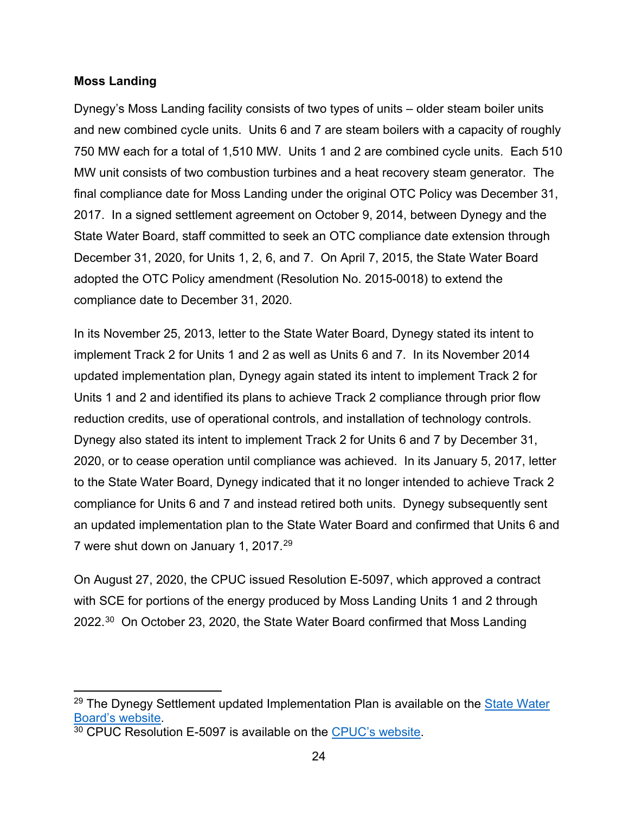#### <span id="page-24-0"></span>**Moss Landing**

Dynegy's Moss Landing facility consists of two types of units – older steam boiler units and new combined cycle units. Units 6 and 7 are steam boilers with a capacity of roughly 750 MW each for a total of 1,510 MW. Units 1 and 2 are combined cycle units. Each 510 MW unit consists of two combustion turbines and a heat recovery steam generator. The final compliance date for Moss Landing under the original OTC Policy was December 31, 2017. In a signed settlement agreement on October 9, 2014, between Dynegy and the State Water Board, staff committed to seek an OTC compliance date extension through December 31, 2020, for Units 1, 2, 6, and 7. On April 7, 2015, the State Water Board adopted the OTC Policy amendment (Resolution No. 2015-0018) to extend the compliance date to December 31, 2020.

In its November 25, 2013, letter to the State Water Board, Dynegy stated its intent to implement Track 2 for Units 1 and 2 as well as Units 6 and 7. In its November 2014 updated implementation plan, Dynegy again stated its intent to implement Track 2 for Units 1 and 2 and identified its plans to achieve Track 2 compliance through prior flow reduction credits, use of operational controls, and installation of technology controls. Dynegy also stated its intent to implement Track 2 for Units 6 and 7 by December 31, 2020, or to cease operation until compliance was achieved. In its January 5, 2017, letter to the State Water Board, Dynegy indicated that it no longer intended to achieve Track 2 compliance for Units 6 and 7 and instead retired both units. Dynegy subsequently sent an updated implementation plan to the State Water Board and confirmed that Units 6 and 7 were shut down on January 1, 2017.[29](#page-24-1)

On August 27, 2020, the CPUC issued Resolution E-5097, which approved a contract with SCE for portions of the energy produced by Moss Landing Units 1 and 2 through 2022.[30](#page-24-2) On October 23, 2020, the State Water Board confirmed that Moss Landing

<span id="page-24-1"></span><sup>&</sup>lt;sup>29</sup> The Dynegy Settlement updated Implementation Plan is available on the State Water [Board's website.](https://www.waterboards.ca.gov/water_issues/programs/ocean/cwa316/powerplants/moss_landing/)<br><sup>30</sup> CPUC Resolution E-5097 is available on the [CPUC's website.](https://docs.cpuc.ca.gov/PublishedDocs/Published/G000/M345/K893/345893728.PDF)

<span id="page-24-2"></span>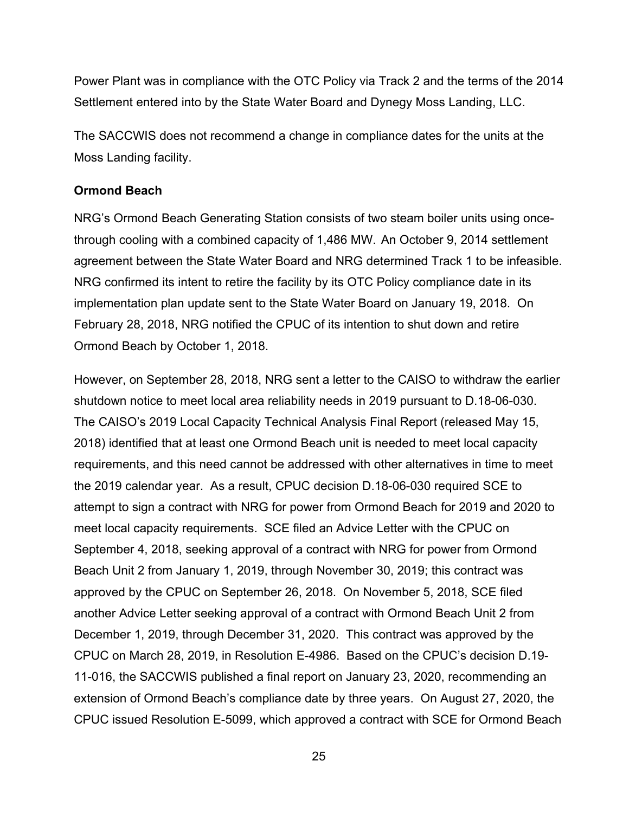Power Plant was in compliance with the OTC Policy via Track 2 and the terms of the 2014 Settlement entered into by the State Water Board and Dynegy Moss Landing, LLC.

The SACCWIS does not recommend a change in compliance dates for the units at the Moss Landing facility.

#### <span id="page-25-0"></span>**Ormond Beach**

NRG's Ormond Beach Generating Station consists of two steam boiler units using oncethrough cooling with a combined capacity of 1,486 MW. An October 9, 2014 settlement agreement between the State Water Board and NRG determined Track 1 to be infeasible. NRG confirmed its intent to retire the facility by its OTC Policy compliance date in its implementation plan update sent to the State Water Board on January 19, 2018. On February 28, 2018, NRG notified the CPUC of its intention to shut down and retire Ormond Beach by October 1, 2018.

However, on September 28, 2018, NRG sent a letter to the CAISO to withdraw the earlier shutdown notice to meet local area reliability needs in 2019 pursuant to D.18-06-030. The CAISO's 2019 Local Capacity Technical Analysis Final Report (released May 15, 2018) identified that at least one Ormond Beach unit is needed to meet local capacity requirements, and this need cannot be addressed with other alternatives in time to meet the 2019 calendar year. As a result, CPUC decision D.18-06-030 required SCE to attempt to sign a contract with NRG for power from Ormond Beach for 2019 and 2020 to meet local capacity requirements. SCE filed an Advice Letter with the CPUC on September 4, 2018, seeking approval of a contract with NRG for power from Ormond Beach Unit 2 from January 1, 2019, through November 30, 2019; this contract was approved by the CPUC on September 26, 2018. On November 5, 2018, SCE filed another Advice Letter seeking approval of a contract with Ormond Beach Unit 2 from December 1, 2019, through December 31, 2020. This contract was approved by the CPUC on March 28, 2019, in Resolution E-4986. Based on the CPUC's decision D.19- 11-016, the SACCWIS published a final report on January 23, 2020, recommending an extension of Ormond Beach's compliance date by three years. On August 27, 2020, the CPUC issued Resolution E-5099, which approved a contract with SCE for Ormond Beach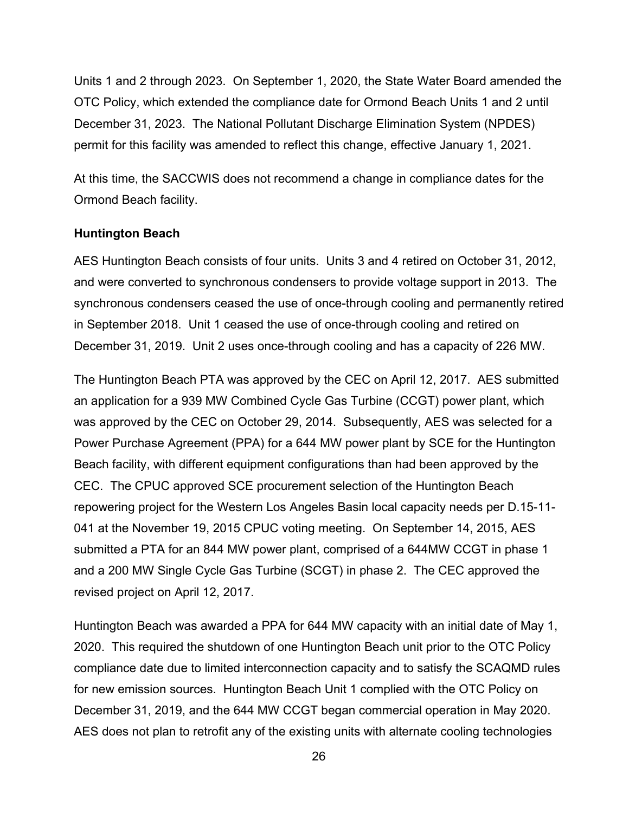Units 1 and 2 through 2023. On September 1, 2020, the State Water Board amended the OTC Policy, which extended the compliance date for Ormond Beach Units 1 and 2 until December 31, 2023. The National Pollutant Discharge Elimination System (NPDES) permit for this facility was amended to reflect this change, effective January 1, 2021.

At this time, the SACCWIS does not recommend a change in compliance dates for the Ormond Beach facility.

#### <span id="page-26-0"></span>**Huntington Beach**

AES Huntington Beach consists of four units. Units 3 and 4 retired on October 31, 2012, and were converted to synchronous condensers to provide voltage support in 2013. The synchronous condensers ceased the use of once-through cooling and permanently retired in September 2018. Unit 1 ceased the use of once-through cooling and retired on December 31, 2019. Unit 2 uses once-through cooling and has a capacity of 226 MW.

The Huntington Beach PTA was approved by the CEC on April 12, 2017. AES submitted an application for a 939 MW Combined Cycle Gas Turbine (CCGT) power plant, which was approved by the CEC on October 29, 2014. Subsequently, AES was selected for a Power Purchase Agreement (PPA) for a 644 MW power plant by SCE for the Huntington Beach facility, with different equipment configurations than had been approved by the CEC. The CPUC approved SCE procurement selection of the Huntington Beach repowering project for the Western Los Angeles Basin local capacity needs per D.15-11- 041 at the November 19, 2015 CPUC voting meeting. On September 14, 2015, AES submitted a PTA for an 844 MW power plant, comprised of a 644MW CCGT in phase 1 and a 200 MW Single Cycle Gas Turbine (SCGT) in phase 2. The CEC approved the revised project on April 12, 2017.

Huntington Beach was awarded a PPA for 644 MW capacity with an initial date of May 1, 2020. This required the shutdown of one Huntington Beach unit prior to the OTC Policy compliance date due to limited interconnection capacity and to satisfy the SCAQMD rules for new emission sources. Huntington Beach Unit 1 complied with the OTC Policy on December 31, 2019, and the 644 MW CCGT began commercial operation in May 2020. AES does not plan to retrofit any of the existing units with alternate cooling technologies

26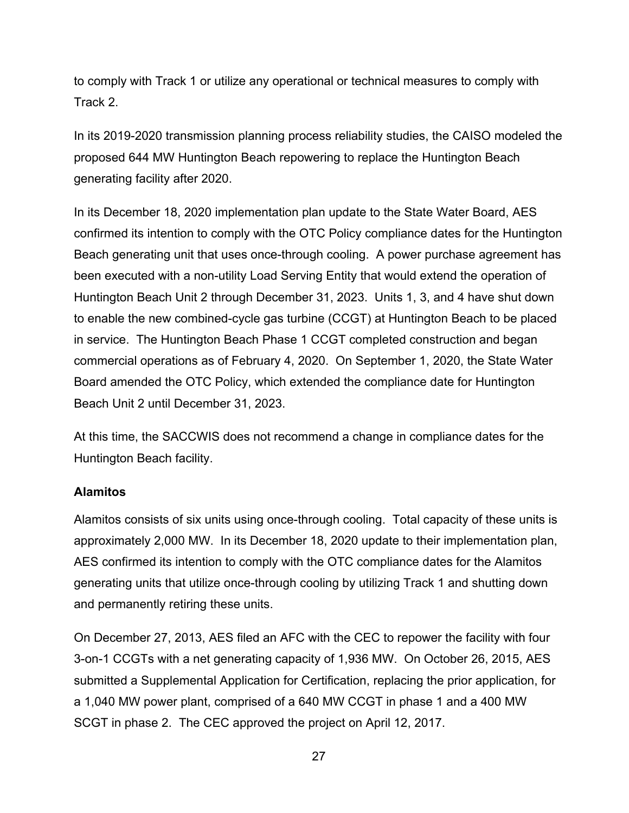to comply with Track 1 or utilize any operational or technical measures to comply with Track 2.

In its 2019-2020 transmission planning process reliability studies, the CAISO modeled the proposed 644 MW Huntington Beach repowering to replace the Huntington Beach generating facility after 2020.

In its December 18, 2020 implementation plan update to the State Water Board, AES confirmed its intention to comply with the OTC Policy compliance dates for the Huntington Beach generating unit that uses once-through cooling. A power purchase agreement has been executed with a non-utility Load Serving Entity that would extend the operation of Huntington Beach Unit 2 through December 31, 2023. Units 1, 3, and 4 have shut down to enable the new combined-cycle gas turbine (CCGT) at Huntington Beach to be placed in service. The Huntington Beach Phase 1 CCGT completed construction and began commercial operations as of February 4, 2020. On September 1, 2020, the State Water Board amended the OTC Policy, which extended the compliance date for Huntington Beach Unit 2 until December 31, 2023.

At this time, the SACCWIS does not recommend a change in compliance dates for the Huntington Beach facility.

#### <span id="page-27-0"></span>**Alamitos**

Alamitos consists of six units using once-through cooling. Total capacity of these units is approximately 2,000 MW. In its December 18, 2020 update to their implementation plan, AES confirmed its intention to comply with the OTC compliance dates for the Alamitos generating units that utilize once-through cooling by utilizing Track 1 and shutting down and permanently retiring these units.

On December 27, 2013, AES filed an AFC with the CEC to repower the facility with four 3-on-1 CCGTs with a net generating capacity of 1,936 MW. On October 26, 2015, AES submitted a Supplemental Application for Certification, replacing the prior application, for a 1,040 MW power plant, comprised of a 640 MW CCGT in phase 1 and a 400 MW SCGT in phase 2. The CEC approved the project on April 12, 2017.

27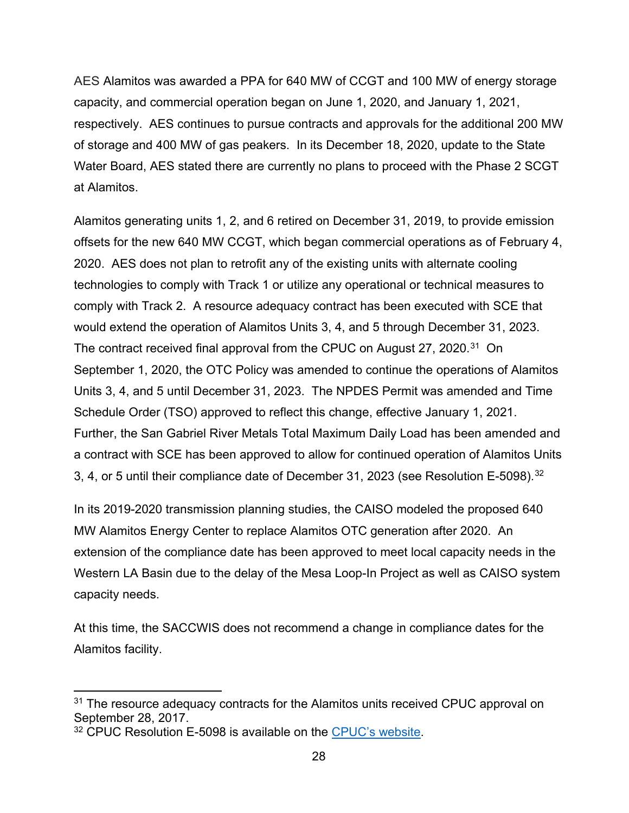AES Alamitos was awarded a PPA for 640 MW of CCGT and 100 MW of energy storage capacity, and commercial operation began on June 1, 2020, and January 1, 2021, respectively. AES continues to pursue contracts and approvals for the additional 200 MW of storage and 400 MW of gas peakers. In its December 18, 2020, update to the State Water Board, AES stated there are currently no plans to proceed with the Phase 2 SCGT at Alamitos.

Alamitos generating units 1, 2, and 6 retired on December 31, 2019, to provide emission offsets for the new 640 MW CCGT, which began commercial operations as of February 4, 2020. AES does not plan to retrofit any of the existing units with alternate cooling technologies to comply with Track 1 or utilize any operational or technical measures to comply with Track 2. A resource adequacy contract has been executed with SCE that would extend the operation of Alamitos Units 3, 4, and 5 through December 31, 2023. The contract received final approval from the CPUC on August 27, 2020.<sup>31</sup> On September 1, 2020, the OTC Policy was amended to continue the operations of Alamitos Units 3, 4, and 5 until December 31, 2023. The NPDES Permit was amended and Time Schedule Order (TSO) approved to reflect this change, effective January 1, 2021. Further, the San Gabriel River Metals Total Maximum Daily Load has been amended and a contract with SCE has been approved to allow for continued operation of Alamitos Units 3, 4, or 5 until their compliance date of December 31, 2023 (see Resolution E-5098). $^{32}$  $^{32}$  $^{32}$ 

In its 2019-2020 transmission planning studies, the CAISO modeled the proposed 640 MW Alamitos Energy Center to replace Alamitos OTC generation after 2020. An extension of the compliance date has been approved to meet local capacity needs in the Western LA Basin due to the delay of the Mesa Loop-In Project as well as CAISO system capacity needs.

At this time, the SACCWIS does not recommend a change in compliance dates for the Alamitos facility.

<span id="page-28-0"></span><sup>&</sup>lt;sup>31</sup> The resource adequacy contracts for the Alamitos units received CPUC approval on September 28, 2017.

<span id="page-28-1"></span><sup>32</sup> CPUC Resolution E-5098 is available on the [CPUC's website.](https://docs.cpuc.ca.gov/PublishedDocs/Published/G000/M346/K106/346106084.PDF)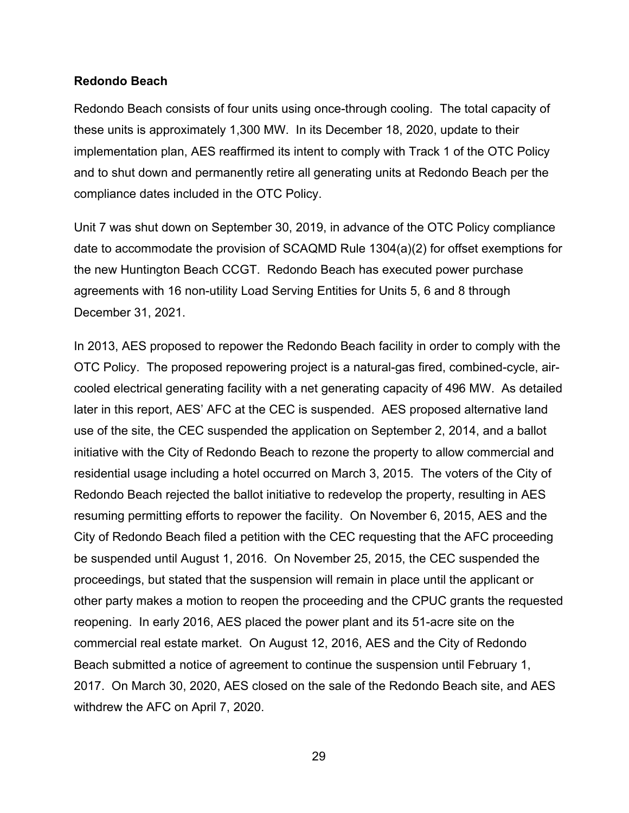#### <span id="page-29-0"></span>**Redondo Beach**

Redondo Beach consists of four units using once-through cooling. The total capacity of these units is approximately 1,300 MW. In its December 18, 2020, update to their implementation plan, AES reaffirmed its intent to comply with Track 1 of the OTC Policy and to shut down and permanently retire all generating units at Redondo Beach per the compliance dates included in the OTC Policy.

Unit 7 was shut down on September 30, 2019, in advance of the OTC Policy compliance date to accommodate the provision of SCAQMD Rule 1304(a)(2) for offset exemptions for the new Huntington Beach CCGT. Redondo Beach has executed power purchase agreements with 16 non-utility Load Serving Entities for Units 5, 6 and 8 through December 31, 2021.

In 2013, AES proposed to repower the Redondo Beach facility in order to comply with the OTC Policy. The proposed repowering project is a natural-gas fired, combined-cycle, aircooled electrical generating facility with a net generating capacity of 496 MW. As detailed later in this report, AES' AFC at the CEC is suspended. AES proposed alternative land use of the site, the CEC suspended the application on September 2, 2014, and a ballot initiative with the City of Redondo Beach to rezone the property to allow commercial and residential usage including a hotel occurred on March 3, 2015. The voters of the City of Redondo Beach rejected the ballot initiative to redevelop the property, resulting in AES resuming permitting efforts to repower the facility. On November 6, 2015, AES and the City of Redondo Beach filed a petition with the CEC requesting that the AFC proceeding be suspended until August 1, 2016. On November 25, 2015, the CEC suspended the proceedings, but stated that the suspension will remain in place until the applicant or other party makes a motion to reopen the proceeding and the CPUC grants the requested reopening. In early 2016, AES placed the power plant and its 51-acre site on the commercial real estate market. On August 12, 2016, AES and the City of Redondo Beach submitted a notice of agreement to continue the suspension until February 1, 2017. On March 30, 2020, AES closed on the sale of the Redondo Beach site, and AES withdrew the AFC on April 7, 2020.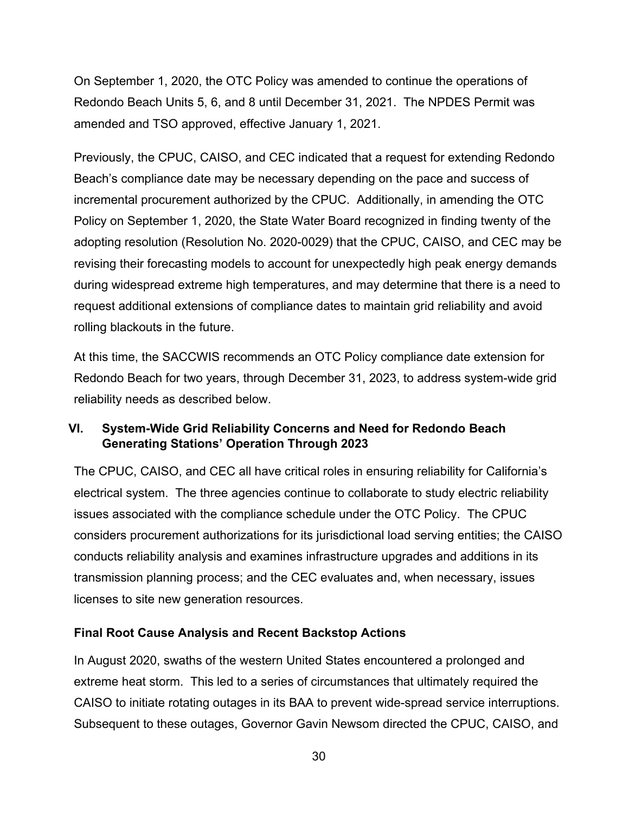On September 1, 2020, the OTC Policy was amended to continue the operations of Redondo Beach Units 5, 6, and 8 until December 31, 2021. The NPDES Permit was amended and TSO approved, effective January 1, 2021.

Previously, the CPUC, CAISO, and CEC indicated that a request for extending Redondo Beach's compliance date may be necessary depending on the pace and success of incremental procurement authorized by the CPUC. Additionally, in amending the OTC Policy on September 1, 2020, the State Water Board recognized in finding twenty of the adopting resolution (Resolution No. 2020-0029) that the CPUC, CAISO, and CEC may be revising their forecasting models to account for unexpectedly high peak energy demands during widespread extreme high temperatures, and may determine that there is a need to request additional extensions of compliance dates to maintain grid reliability and avoid rolling blackouts in the future.

At this time, the SACCWIS recommends an OTC Policy compliance date extension for Redondo Beach for two years, through December 31, 2023, to address system-wide grid reliability needs as described below.

# <span id="page-30-0"></span>**VI. System-Wide Grid Reliability Concerns and Need for Redondo Beach Generating Stations' Operation Through 2023**

The CPUC, CAISO, and CEC all have critical roles in ensuring reliability for California's electrical system. The three agencies continue to collaborate to study electric reliability issues associated with the compliance schedule under the OTC Policy. The CPUC considers procurement authorizations for its jurisdictional load serving entities; the CAISO conducts reliability analysis and examines infrastructure upgrades and additions in its transmission planning process; and the CEC evaluates and, when necessary, issues licenses to site new generation resources.

## <span id="page-30-1"></span>**Final Root Cause Analysis and Recent Backstop Actions**

In August 2020, swaths of the western United States encountered a prolonged and extreme heat storm. This led to a series of circumstances that ultimately required the CAISO to initiate rotating outages in its BAA to prevent wide-spread service interruptions. Subsequent to these outages, Governor Gavin Newsom directed the CPUC, CAISO, and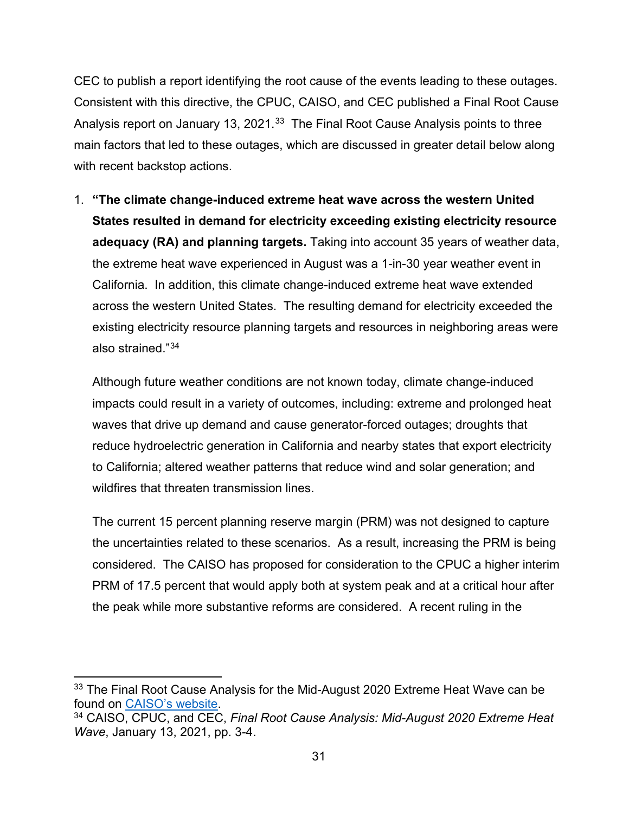CEC to publish a report identifying the root cause of the events leading to these outages. Consistent with this directive, the CPUC, CAISO, and CEC published a Final Root Cause Analysis report on January 13, 2021.<sup>33</sup> The Final Root Cause Analysis points to three main factors that led to these outages, which are discussed in greater detail below along with recent backstop actions.

1. **"The climate change-induced extreme heat wave across the western United States resulted in demand for electricity exceeding existing electricity resource adequacy (RA) and planning targets.** Taking into account 35 years of weather data, the extreme heat wave experienced in August was a 1-in-30 year weather event in California. In addition, this climate change-induced extreme heat wave extended across the western United States. The resulting demand for electricity exceeded the existing electricity resource planning targets and resources in neighboring areas were also strained."[34](#page-31-1)

Although future weather conditions are not known today, climate change-induced impacts could result in a variety of outcomes, including: extreme and prolonged heat waves that drive up demand and cause generator-forced outages; droughts that reduce hydroelectric generation in California and nearby states that export electricity to California; altered weather patterns that reduce wind and solar generation; and wildfires that threaten transmission lines.

The current 15 percent planning reserve margin (PRM) was not designed to capture the uncertainties related to these scenarios. As a result, increasing the PRM is being considered. The CAISO has proposed for consideration to the CPUC a higher interim PRM of 17.5 percent that would apply both at system peak and at a critical hour after the peak while more substantive reforms are considered. A recent ruling in the

<span id="page-31-0"></span><sup>&</sup>lt;sup>33</sup> The Final Root Cause Analysis for the Mid-August 2020 Extreme Heat Wave can be found on [CAISO's website.](http://www.caiso.com/Documents/Final-Root-Cause-Analysis-Mid-August-2020-Extreme-Heat-Wave.pdf)<br><sup>34</sup> CAISO, CPUC, and CEC, *Final Root Cause Analysis: Mid-August 2020 Extreme Heat* 

<span id="page-31-1"></span>*Wave*, January 13, 2021, pp. 3-4.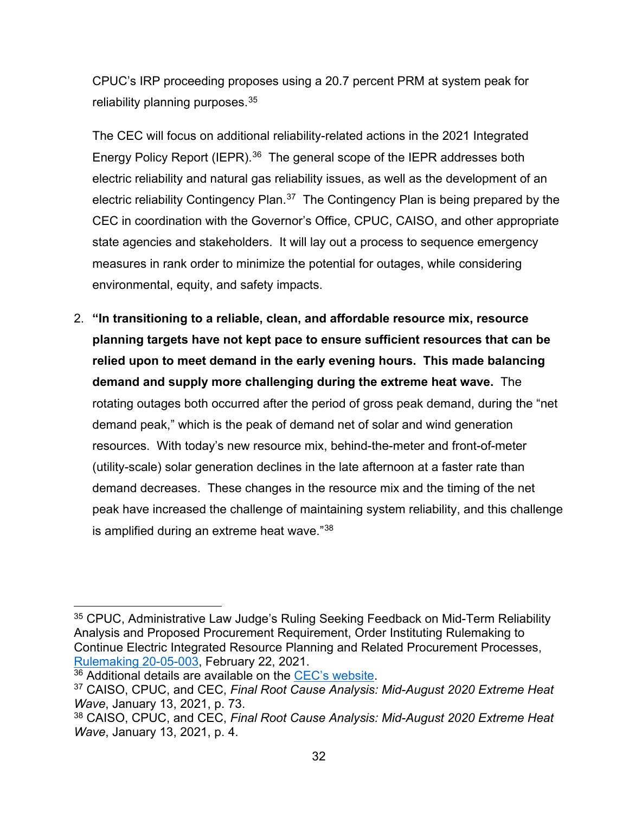CPUC's IRP proceeding proposes using a 20.7 percent PRM at system peak for reliability planning purposes.<sup>35</sup>

The CEC will focus on additional reliability-related actions in the 2021 Integrated Energy Policy Report (IEPR).<sup>36</sup> The general scope of the IEPR addresses both electric reliability and natural gas reliability issues, as well as the development of an electric reliability Contingency Plan.<sup>[37](#page-32-2)</sup> The Contingency Plan is being prepared by the CEC in coordination with the Governor's Office, CPUC, CAISO, and other appropriate state agencies and stakeholders. It will lay out a process to sequence emergency measures in rank order to minimize the potential for outages, while considering environmental, equity, and safety impacts.

2. **"In transitioning to a reliable, clean, and affordable resource mix, resource planning targets have not kept pace to ensure sufficient resources that can be relied upon to meet demand in the early evening hours. This made balancing demand and supply more challenging during the extreme heat wave.** The rotating outages both occurred after the period of gross peak demand, during the "net demand peak," which is the peak of demand net of solar and wind generation resources. With today's new resource mix, behind-the-meter and front-of-meter (utility-scale) solar generation declines in the late afternoon at a faster rate than demand decreases. These changes in the resource mix and the timing of the net peak have increased the challenge of maintaining system reliability, and this challenge is amplified during an extreme heat wave."<sup>38</sup>

<span id="page-32-0"></span><sup>35</sup> CPUC, Administrative Law Judge's Ruling Seeking Feedback on Mid-Term Reliability Analysis and Proposed Procurement Requirement, Order Instituting Rulemaking to Continue Electric Integrated Resource Planning and Related Procurement Processes, [Rulemaking 20-05-003,](https://docs.cpuc.ca.gov/PublishedDocs/Efile/G000/M367/K037/367037415.PDF) February 22, 2021.

<span id="page-32-1"></span><sup>36</sup> Additional details are available on the [CEC's website.](https://www.energy.ca.gov/data-reports/reports/integrated-energy-policy-report/2021-integrated-energy-policy-report)

<span id="page-32-2"></span><sup>37</sup> CAISO, CPUC, and CEC, *Final Root Cause Analysis: Mid-August 2020 Extreme Heat Wave*, January 13, 2021, p. 73.

<span id="page-32-3"></span><sup>38</sup> CAISO, CPUC, and CEC, *Final Root Cause Analysis: Mid-August 2020 Extreme Heat Wave*, January 13, 2021, p. 4.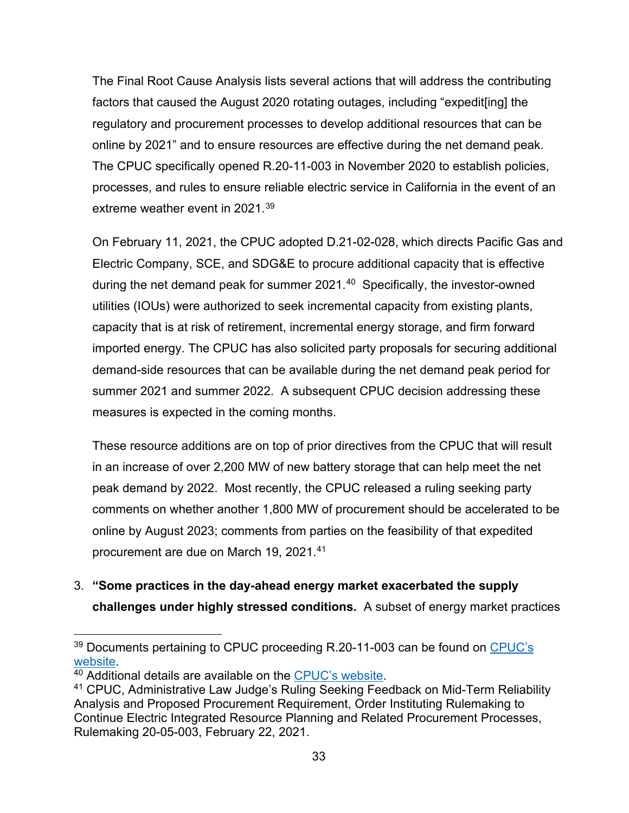The Final Root Cause Analysis lists several actions that will address the contributing factors that caused the August 2020 rotating outages, including "expedit[ing] the regulatory and procurement processes to develop additional resources that can be online by 2021" and to ensure resources are effective during the net demand peak. The CPUC specifically opened R.20-11-003 in November 2020 to establish policies, processes, and rules to ensure reliable electric service in California in the event of an extreme weather event in 2021. [39](#page-33-0)

On February 11, 2021, the CPUC adopted D.21-02-028, which directs Pacific Gas and Electric Company, SCE, and SDG&E to procure additional capacity that is effective during the net demand peak for summer  $2021<sup>40</sup>$  $2021<sup>40</sup>$  $2021<sup>40</sup>$  Specifically, the investor-owned utilities (IOUs) were authorized to seek incremental capacity from existing plants, capacity that is at risk of retirement, incremental energy storage, and firm forward imported energy. The CPUC has also solicited party proposals for securing additional demand-side resources that can be available during the net demand peak period for summer 2021 and summer 2022. A subsequent CPUC decision addressing these measures is expected in the coming months.

These resource additions are on top of prior directives from the CPUC that will result in an increase of over 2,200 MW of new battery storage that can help meet the net peak demand by 2022. Most recently, the CPUC released a ruling seeking party comments on whether another 1,800 MW of procurement should be accelerated to be online by August 2023; comments from parties on the feasibility of that expedited procurement are due on March 19, 2021.[41](#page-33-2)

3. **"Some practices in the day-ahead energy market exacerbated the supply challenges under highly stressed conditions.** A subset of energy market practices

<span id="page-33-0"></span><sup>&</sup>lt;sup>39</sup> Documents pertaining to CPUC proceeding R.20-11-003 can be found on CPUC's [website.](https://apps.cpuc.ca.gov/apex/f?p=401:56:0::NO:RP,57,RIR:P5_PROCEEDING_SELECT:R2011003)<br><sup>40</sup> Additional details are available on the <u>CPUC's website</u>.<br><sup>41</sup> CPUC, Administrative Law Judge's Ruling Seeking Feedback on Mid-Term Reliability

<span id="page-33-1"></span>

<span id="page-33-2"></span>Analysis and Proposed Procurement Requirement, Order Instituting Rulemaking to Continue Electric Integrated Resource Planning and Related Procurement Processes, Rulemaking 20-05-003, February 22, 2021.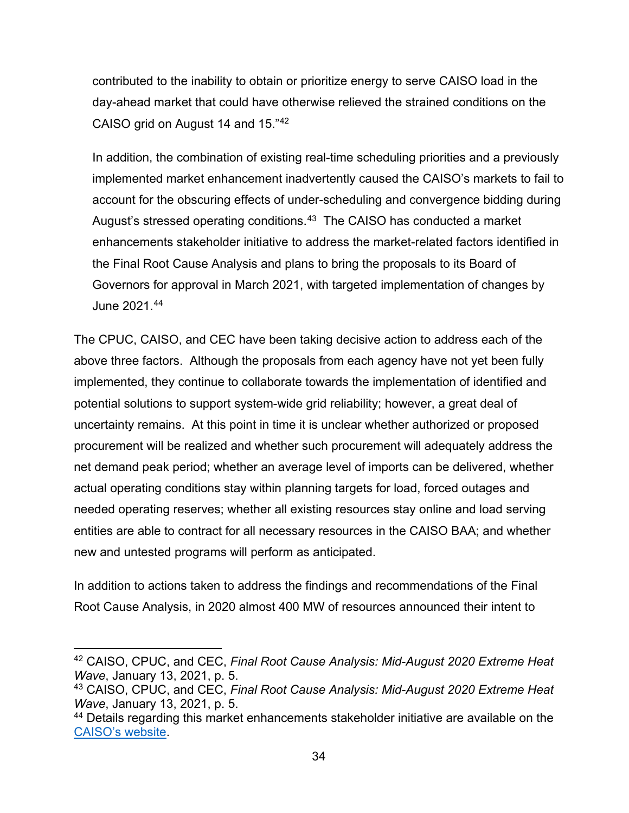contributed to the inability to obtain or prioritize energy to serve CAISO load in the day-ahead market that could have otherwise relieved the strained conditions on the CAISO grid on August 14 and 15."[42](#page-34-0)

In addition, the combination of existing real-time scheduling priorities and a previously implemented market enhancement inadvertently caused the CAISO's markets to fail to account for the obscuring effects of under-scheduling and convergence bidding during August's stressed operating conditions.<sup>[43](#page-34-1)</sup> The CAISO has conducted a market enhancements stakeholder initiative to address the market-related factors identified in the Final Root Cause Analysis and plans to bring the proposals to its Board of Governors for approval in March 2021, with targeted implementation of changes by June 2021.[44](#page-34-2) 

The CPUC, CAISO, and CEC have been taking decisive action to address each of the above three factors. Although the proposals from each agency have not yet been fully implemented, they continue to collaborate towards the implementation of identified and potential solutions to support system-wide grid reliability; however, a great deal of uncertainty remains. At this point in time it is unclear whether authorized or proposed procurement will be realized and whether such procurement will adequately address the net demand peak period; whether an average level of imports can be delivered, whether actual operating conditions stay within planning targets for load, forced outages and needed operating reserves; whether all existing resources stay online and load serving entities are able to contract for all necessary resources in the CAISO BAA; and whether new and untested programs will perform as anticipated.

In addition to actions taken to address the findings and recommendations of the Final Root Cause Analysis, in 2020 almost 400 MW of resources announced their intent to

<span id="page-34-0"></span><sup>42</sup> CAISO, CPUC, and CEC, *Final Root Cause Analysis: Mid-August 2020 Extreme Heat Wave*, January 13, 2021, p. 5.

<span id="page-34-1"></span><sup>43</sup> CAISO, CPUC, and CEC, *Final Root Cause Analysis: Mid-August 2020 Extreme Heat Wave*, January 13, 2021, p. 5.

<span id="page-34-2"></span><sup>44</sup> Details regarding this market enhancements stakeholder initiative are available on the [CAISO's website.](https://stakeholdercenter.caiso.com/StakeholderInitiatives/Market-enhancements-for-summer-2021-readiness)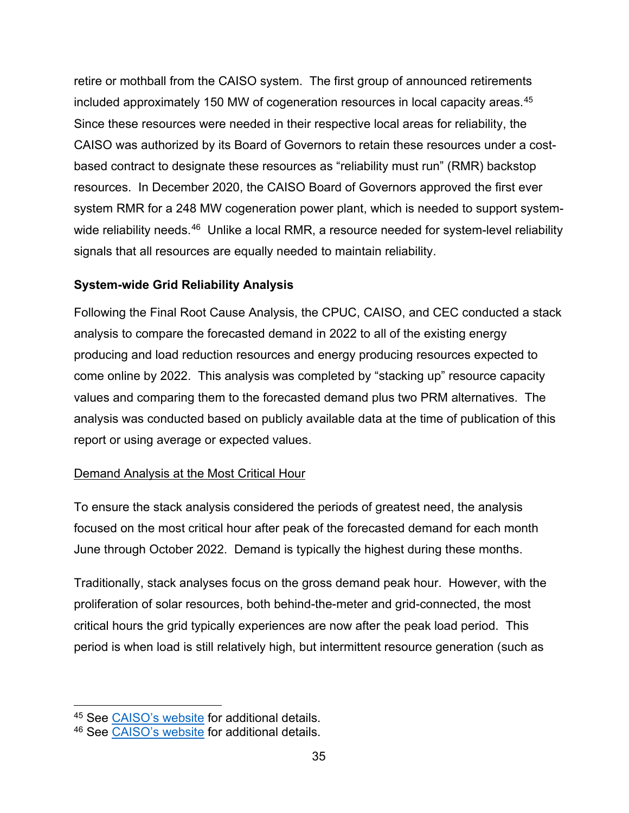retire or mothball from the CAISO system. The first group of announced retirements included approximately 150 MW of cogeneration resources in local capacity areas.[45](#page-35-1) Since these resources were needed in their respective local areas for reliability, the CAISO was authorized by its Board of Governors to retain these resources under a costbased contract to designate these resources as "reliability must run" (RMR) backstop resources. In December 2020, the CAISO Board of Governors approved the first ever system RMR for a 248 MW cogeneration power plant, which is needed to support systemwide reliability needs. $46$  Unlike a local RMR, a resource needed for system-level reliability signals that all resources are equally needed to maintain reliability.

# <span id="page-35-0"></span>**System-wide Grid Reliability Analysis**

Following the Final Root Cause Analysis, the CPUC, CAISO, and CEC conducted a stack analysis to compare the forecasted demand in 2022 to all of the existing energy producing and load reduction resources and energy producing resources expected to come online by 2022. This analysis was completed by "stacking up" resource capacity values and comparing them to the forecasted demand plus two PRM alternatives. The analysis was conducted based on publicly available data at the time of publication of this report or using average or expected values.

# Demand Analysis at the Most Critical Hour

To ensure the stack analysis considered the periods of greatest need, the analysis focused on the most critical hour after peak of the forecasted demand for each month June through October 2022. Demand is typically the highest during these months.

Traditionally, stack analyses focus on the gross demand peak hour. However, with the proliferation of solar resources, both behind-the-meter and grid-connected, the most critical hours the grid typically experiences are now after the peak load period. This period is when load is still relatively high, but intermittent resource generation (such as

<sup>45</sup> See [CAISO's website](http://www.caiso.com/Pages/documentsbygroup.aspx?GroupID=95DD1499-4A5C-4F12-8AA4-E66E3564FC4C) for additional details.

<span id="page-35-2"></span><span id="page-35-1"></span><sup>46</sup> See [CAISO's website](http://www.caiso.com/Documents/DecisiononReliabilityMust-RunDesignations-Memo-Dec2020.pdf) for additional details.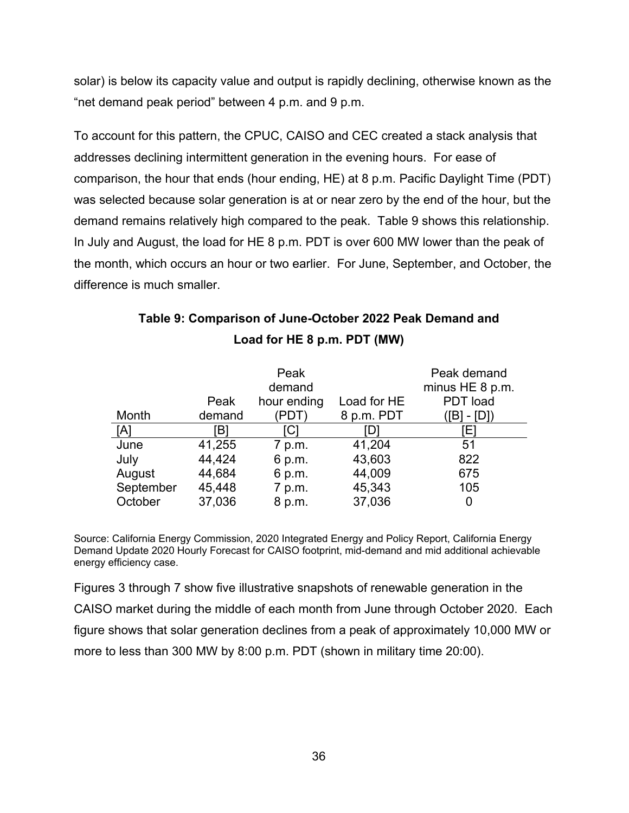solar) is below its capacity value and output is rapidly declining, otherwise known as the "net demand peak period" between 4 p.m. and 9 p.m.

To account for this pattern, the CPUC, CAISO and CEC created a stack analysis that addresses declining intermittent generation in the evening hours. For ease of comparison, the hour that ends (hour ending, HE) at 8 p.m. Pacific Daylight Time (PDT) was selected because solar generation is at or near zero by the end of the hour, but the demand remains relatively high compared to the peak. Table 9 shows this relationship. In July and August, the load for HE 8 p.m. PDT is over 600 MW lower than the peak of the month, which occurs an hour or two earlier. For June, September, and October, the difference is much smaller.

|           | Peak   | Peak<br>demand<br>hour ending | Load for HE | Peak demand<br>minus HE 8 p.m.<br>PDT load |
|-----------|--------|-------------------------------|-------------|--------------------------------------------|
| Month     | demand | PDT                           | 8 p.m. PDT  | $-[D]$<br>TB1                              |
| [A]       | Bl     | C                             |             | ЕI                                         |
| June      | 41,255 | 7 p.m.                        | 41,204      | 51                                         |
| July      | 44,424 | 6 p.m.                        | 43,603      | 822                                        |
| August    | 44,684 | 6 p.m.                        | 44,009      | 675                                        |
| September | 45,448 | 7 p.m.                        | 45,343      | 105                                        |
| October   | 37,036 | 8 p.m.                        | 37,036      |                                            |

# **Table 9: Comparison of June-October 2022 Peak Demand and Load for HE 8 p.m. PDT (MW)**

Source: California Energy Commission, 2020 Integrated Energy and Policy Report, California Energy Demand Update 2020 Hourly Forecast for CAISO footprint, mid-demand and mid additional achievable energy efficiency case.

Figures 3 through 7 show five illustrative snapshots of renewable generation in the CAISO market during the middle of each month from June through October 2020. Each figure shows that solar generation declines from a peak of approximately 10,000 MW or more to less than 300 MW by 8:00 p.m. PDT (shown in military time 20:00).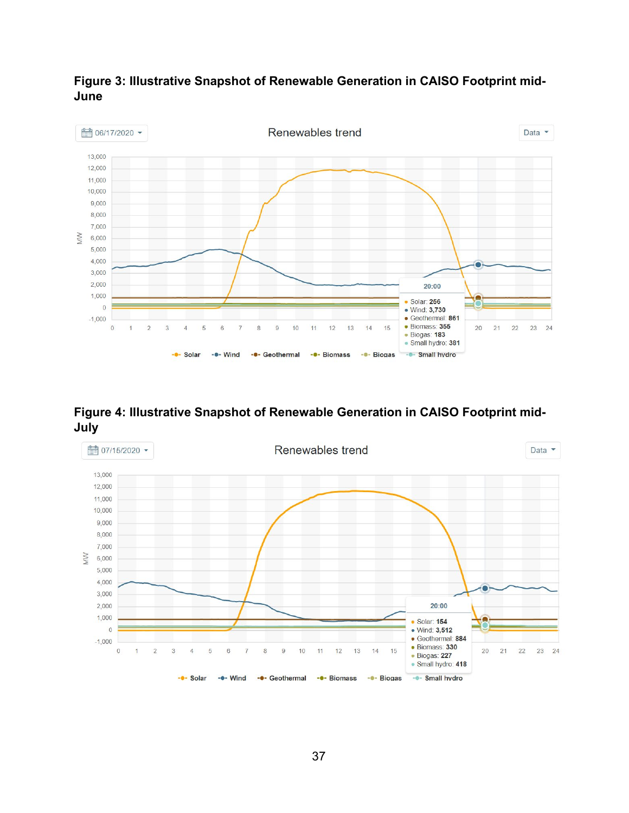

**Figure 3: Illustrative Snapshot of Renewable Generation in CAISO Footprint mid-June**

**Figure 4: Illustrative Snapshot of Renewable Generation in CAISO Footprint mid-July**

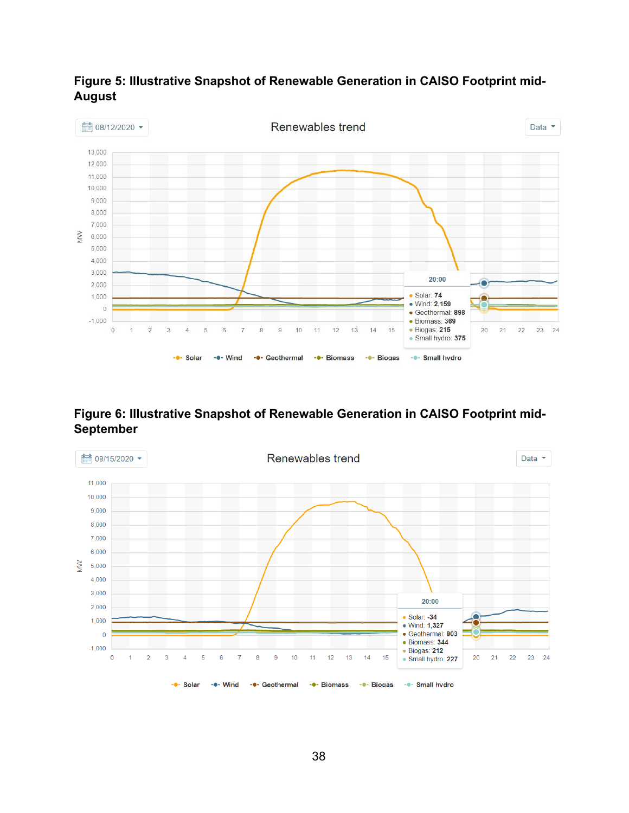

# **Figure 5: Illustrative Snapshot of Renewable Generation in CAISO Footprint mid-August**

# **Figure 6: Illustrative Snapshot of Renewable Generation in CAISO Footprint mid-September**

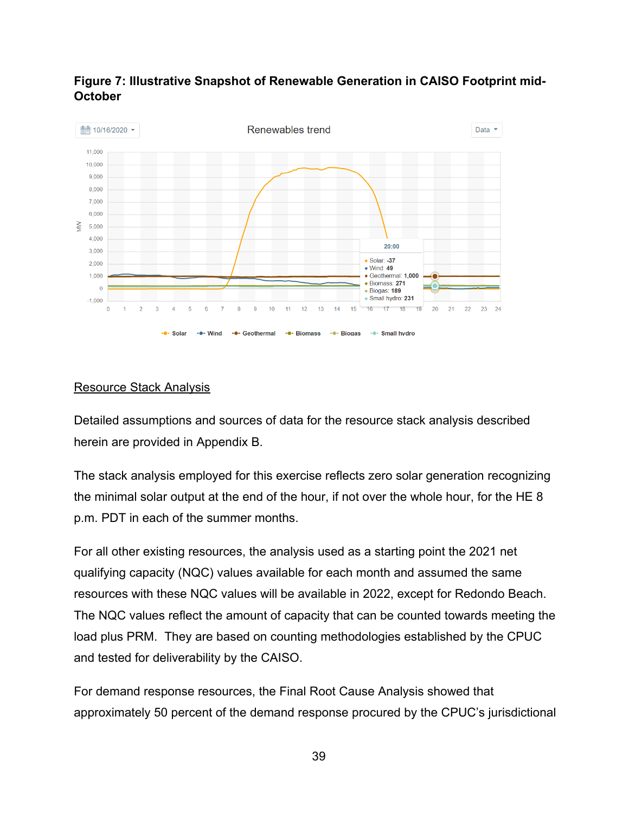

# **Figure 7: Illustrative Snapshot of Renewable Generation in CAISO Footprint mid-October**

#### Resource Stack Analysis

Detailed assumptions and sources of data for the resource stack analysis described herein are provided in Appendix B.

The stack analysis employed for this exercise reflects zero solar generation recognizing the minimal solar output at the end of the hour, if not over the whole hour, for the HE 8 p.m. PDT in each of the summer months.

For all other existing resources, the analysis used as a starting point the 2021 net qualifying capacity (NQC) values available for each month and assumed the same resources with these NQC values will be available in 2022, except for Redondo Beach. The NQC values reflect the amount of capacity that can be counted towards meeting the load plus PRM. They are based on counting methodologies established by the CPUC and tested for deliverability by the CAISO.

For demand response resources, the Final Root Cause Analysis showed that approximately 50 percent of the demand response procured by the CPUC's jurisdictional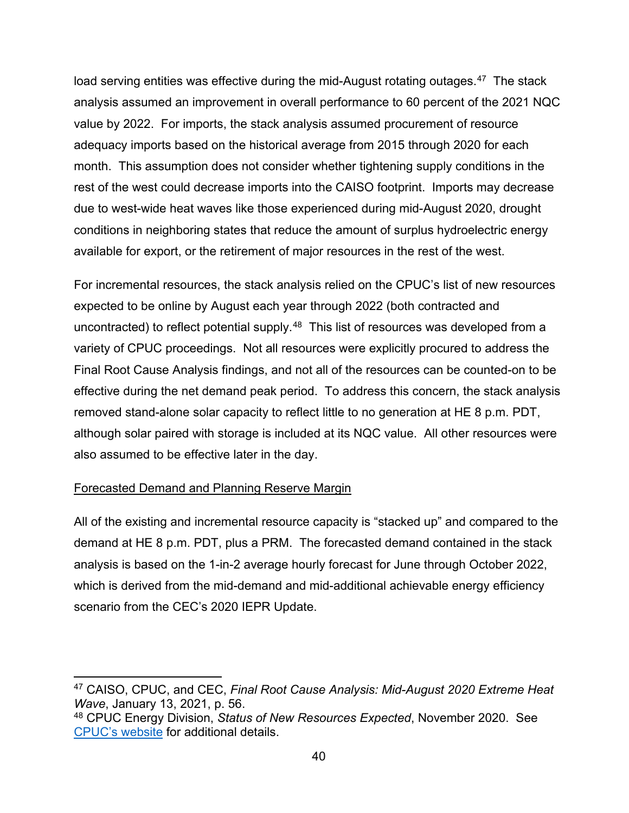load serving entities was effective during the mid-August rotating outages.<sup>47</sup> The stack analysis assumed an improvement in overall performance to 60 percent of the 2021 NQC value by 2022. For imports, the stack analysis assumed procurement of resource adequacy imports based on the historical average from 2015 through 2020 for each month. This assumption does not consider whether tightening supply conditions in the rest of the west could decrease imports into the CAISO footprint. Imports may decrease due to west-wide heat waves like those experienced during mid-August 2020, drought conditions in neighboring states that reduce the amount of surplus hydroelectric energy available for export, or the retirement of major resources in the rest of the west.

For incremental resources, the stack analysis relied on the CPUC's list of new resources expected to be online by August each year through 2022 (both contracted and uncontracted) to reflect potential supply.<sup>[48](#page-40-1)</sup> This list of resources was developed from a variety of CPUC proceedings. Not all resources were explicitly procured to address the Final Root Cause Analysis findings, and not all of the resources can be counted-on to be effective during the net demand peak period. To address this concern, the stack analysis removed stand-alone solar capacity to reflect little to no generation at HE 8 p.m. PDT, although solar paired with storage is included at its NQC value. All other resources were also assumed to be effective later in the day.

## Forecasted Demand and Planning Reserve Margin

All of the existing and incremental resource capacity is "stacked up" and compared to the demand at HE 8 p.m. PDT, plus a PRM. The forecasted demand contained in the stack analysis is based on the 1-in-2 average hourly forecast for June through October 2022, which is derived from the mid-demand and mid-additional achievable energy efficiency scenario from the CEC's 2020 IEPR Update.

<span id="page-40-0"></span><sup>47</sup> CAISO, CPUC, and CEC, *Final Root Cause Analysis: Mid-August 2020 Extreme Heat Wave*, January 13, 2021, p. 56.<br><sup>48</sup> CPUC Energy Division, *Status of New Resources Expected*, November 2020. See

<span id="page-40-1"></span>[CPUC's website](https://www.cpuc.ca.gov/WorkArea/DownloadAsset.aspx?id=6442466860) for additional details.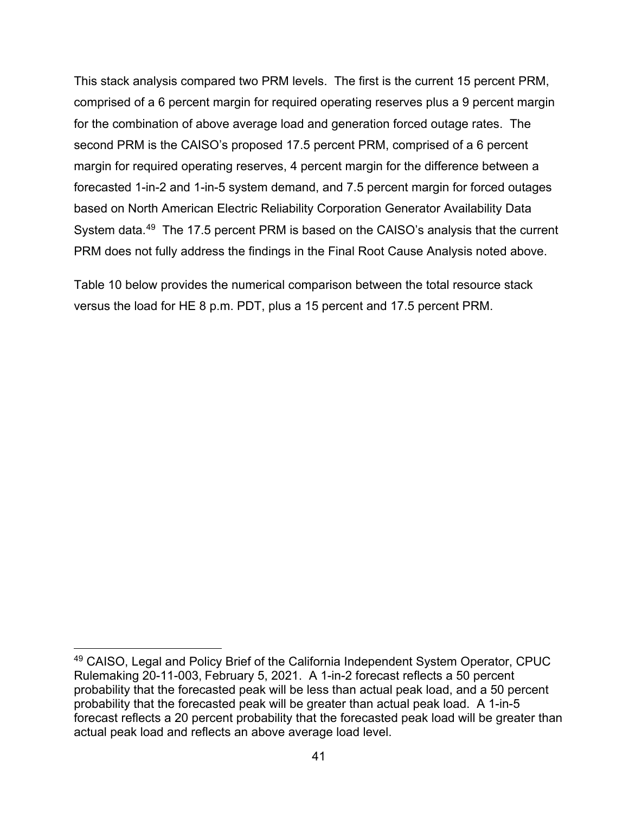This stack analysis compared two PRM levels. The first is the current 15 percent PRM, comprised of a 6 percent margin for required operating reserves plus a 9 percent margin for the combination of above average load and generation forced outage rates. The second PRM is the CAISO's proposed 17.5 percent PRM, comprised of a 6 percent margin for required operating reserves, 4 percent margin for the difference between a forecasted 1-in-2 and 1-in-5 system demand, and 7.5 percent margin for forced outages based on North American Electric Reliability Corporation Generator Availability Data System data.[49](#page-41-0) The 17.5 percent PRM is based on the CAISO's analysis that the current PRM does not fully address the findings in the Final Root Cause Analysis noted above.

Table 10 below provides the numerical comparison between the total resource stack versus the load for HE 8 p.m. PDT, plus a 15 percent and 17.5 percent PRM.

<span id="page-41-0"></span><sup>49</sup> CAISO, Legal and Policy Brief of the California Independent System Operator, CPUC Rulemaking 20-11-003, February 5, 2021. A 1-in-2 forecast reflects a 50 percent probability that the forecasted peak will be less than actual peak load, and a 50 percent probability that the forecasted peak will be greater than actual peak load. A 1-in-5 forecast reflects a 20 percent probability that the forecasted peak load will be greater than actual peak load and reflects an above average load level.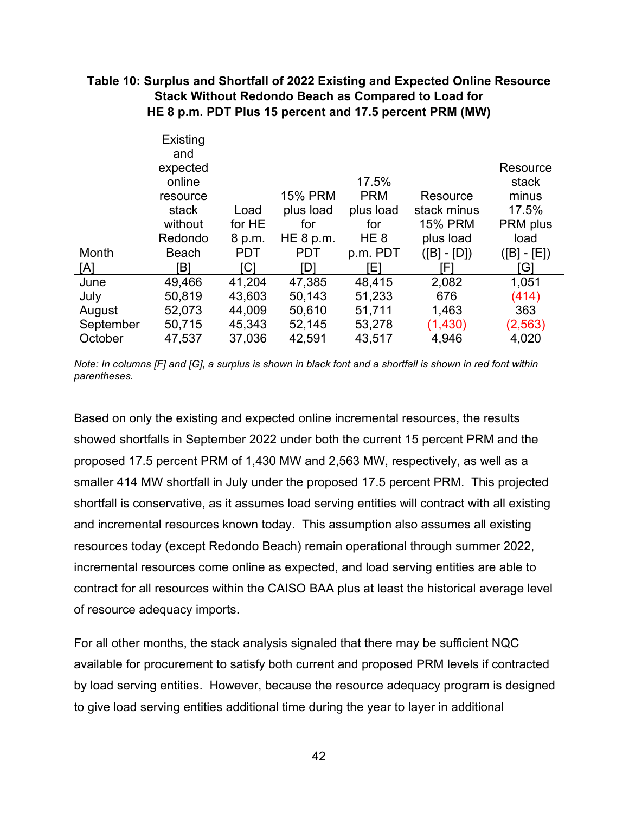#### **Table 10: Surplus and Shortfall of 2022 Existing and Expected Online Resource Stack Without Redondo Beach as Compared to Load for HE 8 p.m. PDT Plus 15 percent and 17.5 percent PRM (MW)**

|           | Existing<br>and<br>expected |            |                |                 |                | Resource    |
|-----------|-----------------------------|------------|----------------|-----------------|----------------|-------------|
|           | online                      |            |                | 17.5%           |                | stack       |
|           | resource                    |            | <b>15% PRM</b> | <b>PRM</b>      | Resource       | minus       |
|           | stack                       | Load       | plus load      | plus load       | stack minus    | 17.5%       |
|           | without                     | for HE     | for            | for             | <b>15% PRM</b> | PRM plus    |
|           | Redondo                     | 8 p.m.     | HE 8 p.m.      | HE <sub>8</sub> | plus load      | load        |
| Month     | <b>Beach</b>                | <b>PDT</b> | <b>PDT</b>     | p.m. PDT        | ([B] - [D])    | ([B] - [E]) |
| [A]       | Έl                          | [C]        | ID1            | [E]             | FI             | G1          |
| June      | 49,466                      | 41,204     | 47,385         | 48,415          | 2,082          | 1,051       |
| July      | 50,819                      | 43,603     | 50,143         | 51,233          | 676            | (414)       |
| August    | 52,073                      | 44,009     | 50,610         | 51,711          | 1,463          | 363         |
| September | 50,715                      | 45,343     | 52,145         | 53,278          | (1,430)        | (2, 563)    |
| October   | 47,537                      | 37,036     | 42,591         | 43,517          | 4,946          | 4,020       |

*Note: In columns [F] and [G], a surplus is shown in black font and a shortfall is shown in red font within parentheses.* 

Based on only the existing and expected online incremental resources, the results showed shortfalls in September 2022 under both the current 15 percent PRM and the proposed 17.5 percent PRM of 1,430 MW and 2,563 MW, respectively, as well as a smaller 414 MW shortfall in July under the proposed 17.5 percent PRM. This projected shortfall is conservative, as it assumes load serving entities will contract with all existing and incremental resources known today. This assumption also assumes all existing resources today (except Redondo Beach) remain operational through summer 2022, incremental resources come online as expected, and load serving entities are able to contract for all resources within the CAISO BAA plus at least the historical average level of resource adequacy imports.

For all other months, the stack analysis signaled that there may be sufficient NQC available for procurement to satisfy both current and proposed PRM levels if contracted by load serving entities. However, because the resource adequacy program is designed to give load serving entities additional time during the year to layer in additional

42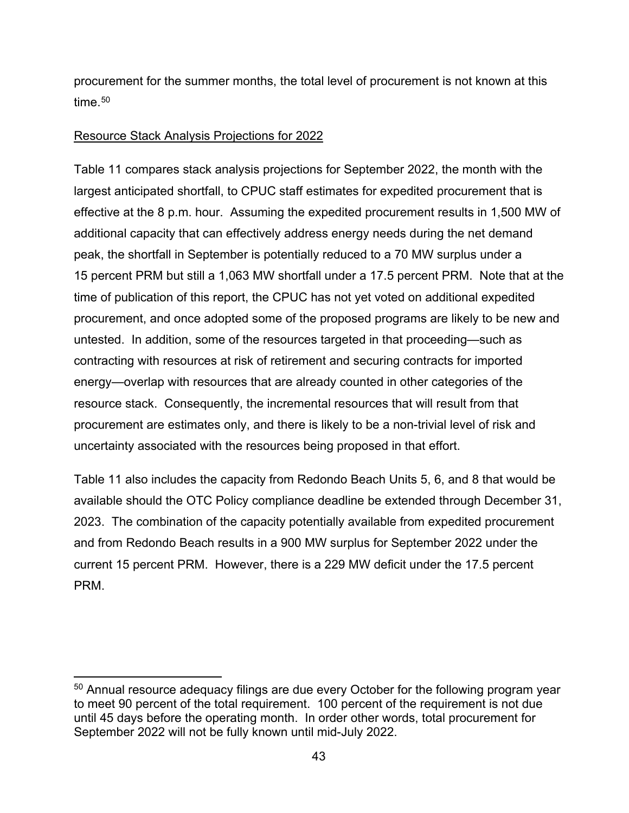procurement for the summer months, the total level of procurement is not known at this time.<sup>[50](#page-43-0)</sup>

#### Resource Stack Analysis Projections for 2022

Table 11 compares stack analysis projections for September 2022, the month with the largest anticipated shortfall, to CPUC staff estimates for expedited procurement that is effective at the 8 p.m. hour. Assuming the expedited procurement results in 1,500 MW of additional capacity that can effectively address energy needs during the net demand peak, the shortfall in September is potentially reduced to a 70 MW surplus under a 15 percent PRM but still a 1,063 MW shortfall under a 17.5 percent PRM. Note that at the time of publication of this report, the CPUC has not yet voted on additional expedited procurement, and once adopted some of the proposed programs are likely to be new and untested. In addition, some of the resources targeted in that proceeding—such as contracting with resources at risk of retirement and securing contracts for imported energy—overlap with resources that are already counted in other categories of the resource stack. Consequently, the incremental resources that will result from that procurement are estimates only, and there is likely to be a non-trivial level of risk and uncertainty associated with the resources being proposed in that effort.

Table 11 also includes the capacity from Redondo Beach Units 5, 6, and 8 that would be available should the OTC Policy compliance deadline be extended through December 31, 2023. The combination of the capacity potentially available from expedited procurement and from Redondo Beach results in a 900 MW surplus for September 2022 under the current 15 percent PRM. However, there is a 229 MW deficit under the 17.5 percent PRM.

<span id="page-43-0"></span><sup>&</sup>lt;sup>50</sup> Annual resource adequacy filings are due every October for the following program year to meet 90 percent of the total requirement. 100 percent of the requirement is not due until 45 days before the operating month. In order other words, total procurement for September 2022 will not be fully known until mid-July 2022.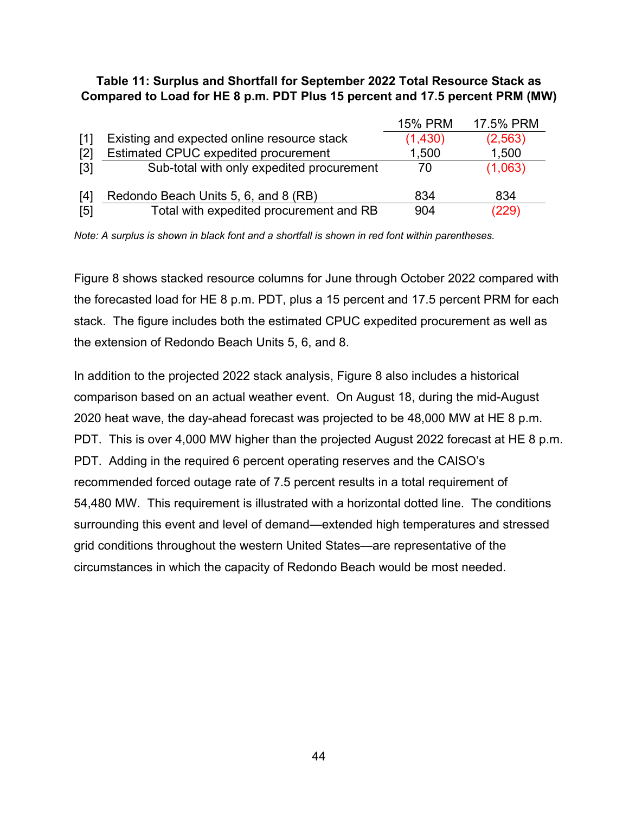#### **Table 11: Surplus and Shortfall for September 2022 Total Resource Stack as Compared to Load for HE 8 p.m. PDT Plus 15 percent and 17.5 percent PRM (MW)**

|                   |                                             | <b>15% PRM</b> | 17.5% PRM |
|-------------------|---------------------------------------------|----------------|-----------|
| [1]               | Existing and expected online resource stack | (1,430)        | (2, 563)  |
| $\lceil 2 \rceil$ | Estimated CPUC expedited procurement        | 1,500          | 1,500     |
| $\lceil 3 \rceil$ | Sub-total with only expedited procurement   | 70             | (1,063)   |
| [4]               | Redondo Beach Units 5, 6, and 8 (RB)        | 834            | 834       |
| [5]               | Total with expedited procurement and RB     | 904            | (229)     |

*Note: A surplus is shown in black font and a shortfall is shown in red font within parentheses.* 

Figure 8 shows stacked resource columns for June through October 2022 compared with the forecasted load for HE 8 p.m. PDT, plus a 15 percent and 17.5 percent PRM for each stack. The figure includes both the estimated CPUC expedited procurement as well as the extension of Redondo Beach Units 5, 6, and 8.

In addition to the projected 2022 stack analysis, Figure 8 also includes a historical comparison based on an actual weather event. On August 18, during the mid-August 2020 heat wave, the day-ahead forecast was projected to be 48,000 MW at HE 8 p.m. PDT. This is over 4,000 MW higher than the projected August 2022 forecast at HE 8 p.m. PDT. Adding in the required 6 percent operating reserves and the CAISO's recommended forced outage rate of 7.5 percent results in a total requirement of 54,480 MW. This requirement is illustrated with a horizontal dotted line. The conditions surrounding this event and level of demand—extended high temperatures and stressed grid conditions throughout the western United States—are representative of the circumstances in which the capacity of Redondo Beach would be most needed.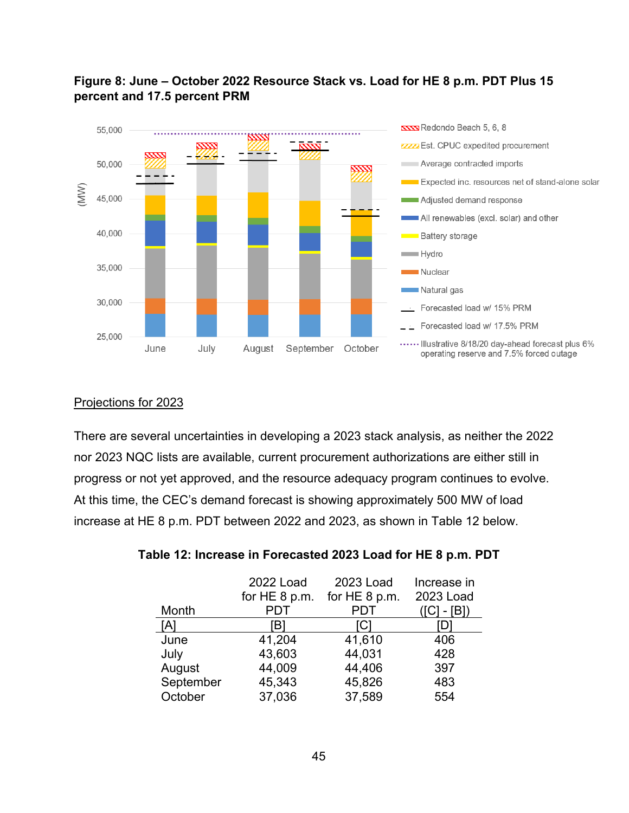

# **Figure 8: June – October 2022 Resource Stack vs. Load for HE 8 p.m. PDT Plus 15 percent and 17.5 percent PRM**

#### Projections for 2023

There are several uncertainties in developing a 2023 stack analysis, as neither the 2022 nor 2023 NQC lists are available, current procurement authorizations are either still in progress or not yet approved, and the resource adequacy program continues to evolve. At this time, the CEC's demand forecast is showing approximately 500 MW of load increase at HE 8 p.m. PDT between 2022 and 2023, as shown in Table 12 below.

|           | 2022 Load     | 2023 Load     | Increase in |
|-----------|---------------|---------------|-------------|
|           | for HE 8 p.m. | for HE 8 p.m. | 2023 Load   |
| Month     | PDT           | <b>PDT</b>    | - [B])      |
| [A]       | [B]           | [C]           | D           |
| June      | 41,204        | 41,610        | 406         |
| July      | 43,603        | 44,031        | 428         |
| August    | 44,009        | 44,406        | 397         |
| September | 45,343        | 45,826        | 483         |
| October   | 37,036        | 37,589        | 554         |

| Table 12: Increase in Forecasted 2023 Load for HE 8 p.m. PDT |  |
|--------------------------------------------------------------|--|
|                                                              |  |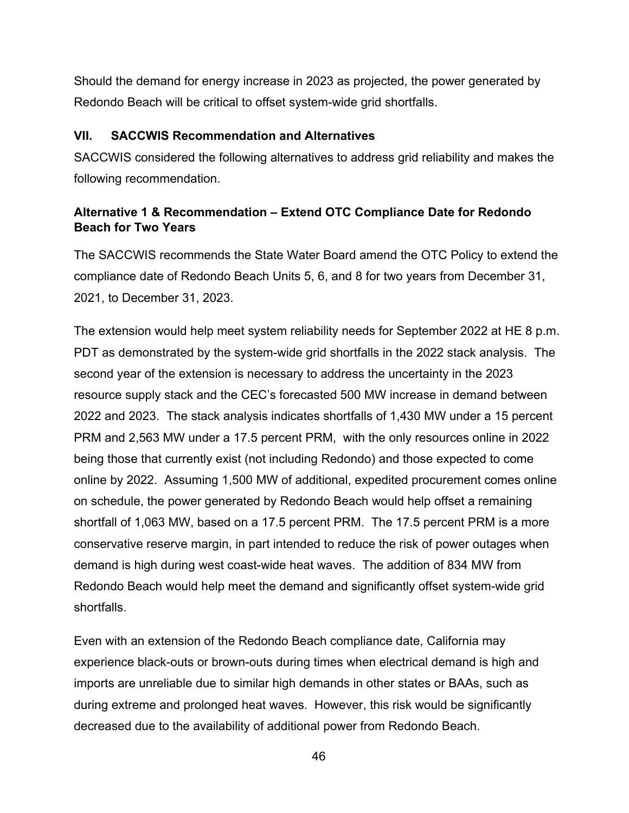Should the demand for energy increase in 2023 as projected, the power generated by Redondo Beach will be critical to offset system-wide grid shortfalls.

#### <span id="page-46-0"></span>**VII. SACCWIS Recommendation and Alternatives**

SACCWIS considered the following alternatives to address grid reliability and makes the following recommendation.

# <span id="page-46-1"></span>**Alternative 1 & Recommendation – Extend OTC Compliance Date for Redondo Beach for Two Years**

The SACCWIS recommends the State Water Board amend the OTC Policy to extend the compliance date of Redondo Beach Units 5, 6, and 8 for two years from December 31, 2021, to December 31, 2023.

The extension would help meet system reliability needs for September 2022 at HE 8 p.m. PDT as demonstrated by the system-wide grid shortfalls in the 2022 stack analysis. The second year of the extension is necessary to address the uncertainty in the 2023 resource supply stack and the CEC's forecasted 500 MW increase in demand between 2022 and 2023. The stack analysis indicates shortfalls of 1,430 MW under a 15 percent PRM and 2,563 MW under a 17.5 percent PRM, with the only resources online in 2022 being those that currently exist (not including Redondo) and those expected to come online by 2022. Assuming 1,500 MW of additional, expedited procurement comes online on schedule, the power generated by Redondo Beach would help offset a remaining shortfall of 1,063 MW, based on a 17.5 percent PRM. The 17.5 percent PRM is a more conservative reserve margin, in part intended to reduce the risk of power outages when demand is high during west coast-wide heat waves. The addition of 834 MW from Redondo Beach would help meet the demand and significantly offset system-wide grid shortfalls.

Even with an extension of the Redondo Beach compliance date, California may experience black-outs or brown-outs during times when electrical demand is high and imports are unreliable due to similar high demands in other states or BAAs, such as during extreme and prolonged heat waves. However, this risk would be significantly decreased due to the availability of additional power from Redondo Beach.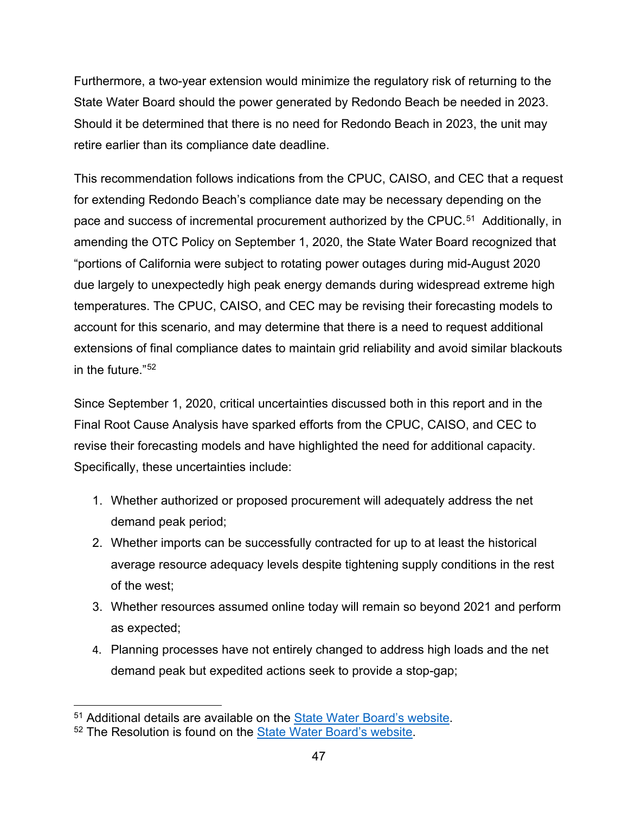Furthermore, a two-year extension would minimize the regulatory risk of returning to the State Water Board should the power generated by Redondo Beach be needed in 2023. Should it be determined that there is no need for Redondo Beach in 2023, the unit may retire earlier than its compliance date deadline.

This recommendation follows indications from the CPUC, CAISO, and CEC that a request for extending Redondo Beach's compliance date may be necessary depending on the pace and success of incremental procurement authorized by the CPUC.<sup>51</sup> Additionally, in amending the OTC Policy on September 1, 2020, the State Water Board recognized that "portions of California were subject to rotating power outages during mid-August 2020 due largely to unexpectedly high peak energy demands during widespread extreme high temperatures. The CPUC, CAISO, and CEC may be revising their forecasting models to account for this scenario, and may determine that there is a need to request additional extensions of final compliance dates to maintain grid reliability and avoid similar blackouts in the future."[52](#page-47-1)

Since September 1, 2020, critical uncertainties discussed both in this report and in the Final Root Cause Analysis have sparked efforts from the CPUC, CAISO, and CEC to revise their forecasting models and have highlighted the need for additional capacity. Specifically, these uncertainties include:

- 1. Whether authorized or proposed procurement will adequately address the net demand peak period;
- 2. Whether imports can be successfully contracted for up to at least the historical average resource adequacy levels despite tightening supply conditions in the rest of the west;
- 3. Whether resources assumed online today will remain so beyond 2021 and perform as expected;
- 4. Planning processes have not entirely changed to address high loads and the net demand peak but expedited actions seek to provide a stop-gap;

<sup>51</sup> Additional details are available on the [State Water Board's website.](https://www.waterboards.ca.gov/water_issues/programs/ocean/cwa316/docs/otc_letter.pdf)

<span id="page-47-1"></span><span id="page-47-0"></span><sup>&</sup>lt;sup>52</sup> The Resolution is found on the **State Water Board's website**.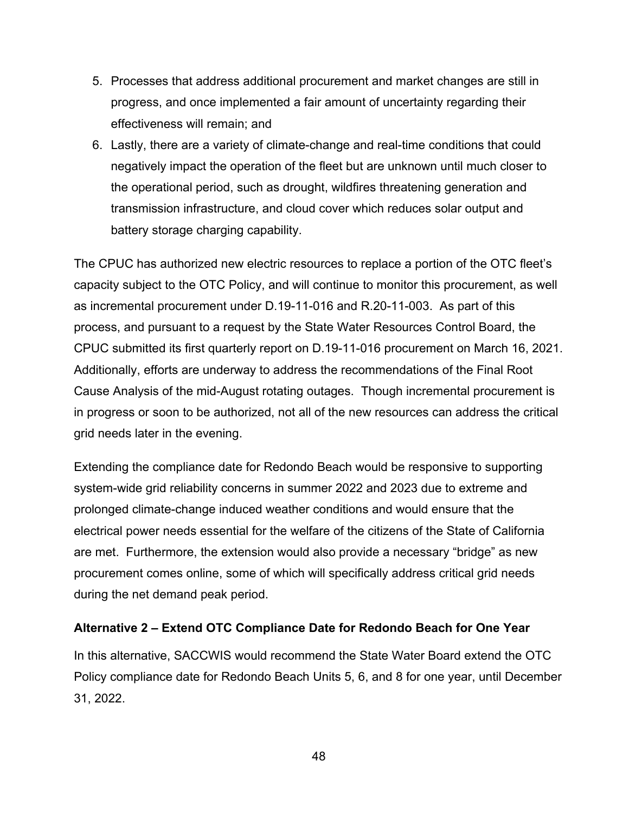- 5. Processes that address additional procurement and market changes are still in progress, and once implemented a fair amount of uncertainty regarding their effectiveness will remain; and
- 6. Lastly, there are a variety of climate-change and real-time conditions that could negatively impact the operation of the fleet but are unknown until much closer to the operational period, such as drought, wildfires threatening generation and transmission infrastructure, and cloud cover which reduces solar output and battery storage charging capability.

The CPUC has authorized new electric resources to replace a portion of the OTC fleet's capacity subject to the OTC Policy, and will continue to monitor this procurement, as well as incremental procurement under D.19-11-016 and R.20-11-003. As part of this process, and pursuant to a request by the State Water Resources Control Board, the CPUC submitted its first quarterly report on D.19-11-016 procurement on March 16, 2021. Additionally, efforts are underway to address the recommendations of the Final Root Cause Analysis of the mid-August rotating outages. Though incremental procurement is in progress or soon to be authorized, not all of the new resources can address the critical grid needs later in the evening.

Extending the compliance date for Redondo Beach would be responsive to supporting system-wide grid reliability concerns in summer 2022 and 2023 due to extreme and prolonged climate-change induced weather conditions and would ensure that the electrical power needs essential for the welfare of the citizens of the State of California are met. Furthermore, the extension would also provide a necessary "bridge" as new procurement comes online, some of which will specifically address critical grid needs during the net demand peak period.

#### <span id="page-48-0"></span>**Alternative 2 – Extend OTC Compliance Date for Redondo Beach for One Year**

In this alternative, SACCWIS would recommend the State Water Board extend the OTC Policy compliance date for Redondo Beach Units 5, 6, and 8 for one year, until December 31, 2022.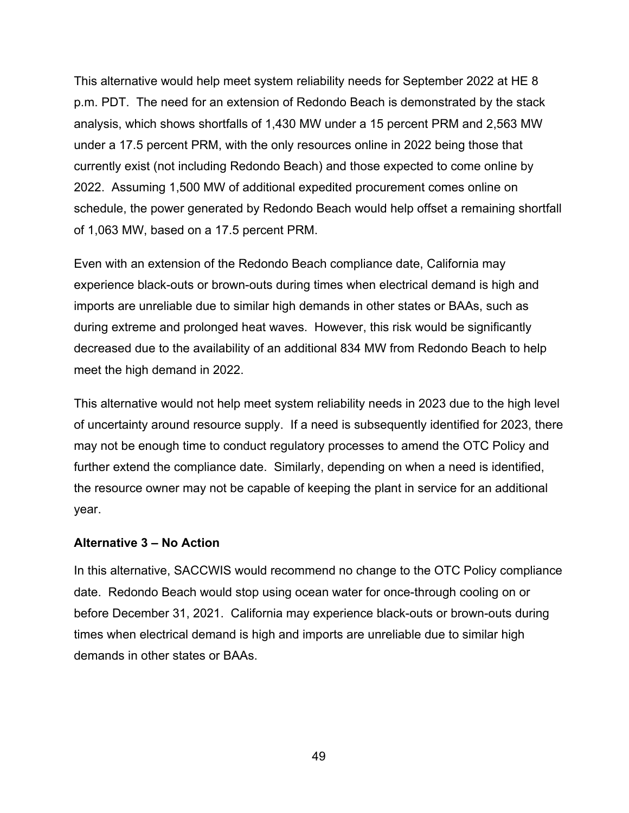This alternative would help meet system reliability needs for September 2022 at HE 8 p.m. PDT. The need for an extension of Redondo Beach is demonstrated by the stack analysis, which shows shortfalls of 1,430 MW under a 15 percent PRM and 2,563 MW under a 17.5 percent PRM, with the only resources online in 2022 being those that currently exist (not including Redondo Beach) and those expected to come online by 2022. Assuming 1,500 MW of additional expedited procurement comes online on schedule, the power generated by Redondo Beach would help offset a remaining shortfall of 1,063 MW, based on a 17.5 percent PRM.

Even with an extension of the Redondo Beach compliance date, California may experience black-outs or brown-outs during times when electrical demand is high and imports are unreliable due to similar high demands in other states or BAAs, such as during extreme and prolonged heat waves. However, this risk would be significantly decreased due to the availability of an additional 834 MW from Redondo Beach to help meet the high demand in 2022.

This alternative would not help meet system reliability needs in 2023 due to the high level of uncertainty around resource supply. If a need is subsequently identified for 2023, there may not be enough time to conduct regulatory processes to amend the OTC Policy and further extend the compliance date. Similarly, depending on when a need is identified, the resource owner may not be capable of keeping the plant in service for an additional year.

#### <span id="page-49-0"></span>**Alternative 3 – No Action**

In this alternative, SACCWIS would recommend no change to the OTC Policy compliance date. Redondo Beach would stop using ocean water for once-through cooling on or before December 31, 2021. California may experience black-outs or brown-outs during times when electrical demand is high and imports are unreliable due to similar high demands in other states or BAAs.

49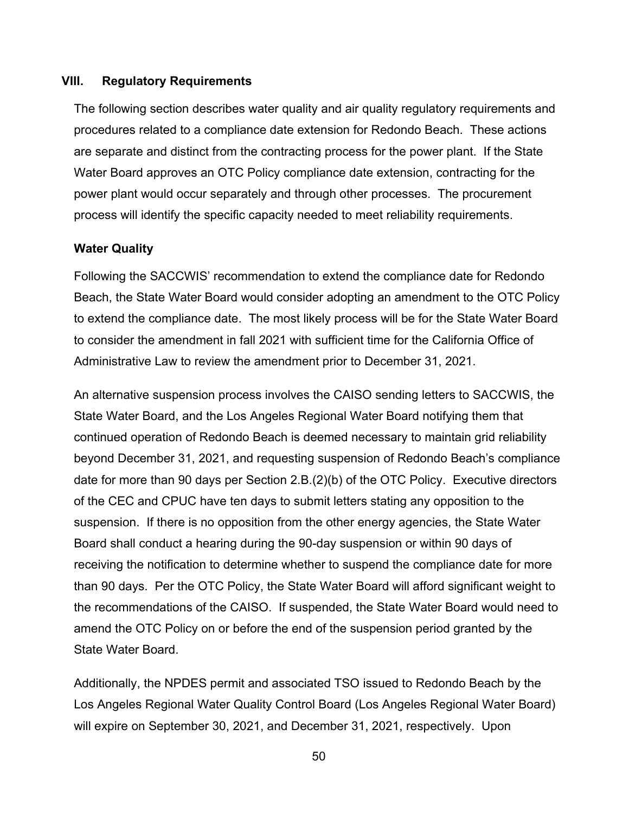#### <span id="page-50-0"></span>**VIII. Regulatory Requirements**

The following section describes water quality and air quality regulatory requirements and procedures related to a compliance date extension for Redondo Beach. These actions are separate and distinct from the contracting process for the power plant. If the State Water Board approves an OTC Policy compliance date extension, contracting for the power plant would occur separately and through other processes. The procurement process will identify the specific capacity needed to meet reliability requirements.

#### <span id="page-50-1"></span>**Water Quality**

Following the SACCWIS' recommendation to extend the compliance date for Redondo Beach, the State Water Board would consider adopting an amendment to the OTC Policy to extend the compliance date. The most likely process will be for the State Water Board to consider the amendment in fall 2021 with sufficient time for the California Office of Administrative Law to review the amendment prior to December 31, 2021.

An alternative suspension process involves the CAISO sending letters to SACCWIS, the State Water Board, and the Los Angeles Regional Water Board notifying them that continued operation of Redondo Beach is deemed necessary to maintain grid reliability beyond December 31, 2021, and requesting suspension of Redondo Beach's compliance date for more than 90 days per Section 2.B.(2)(b) of the OTC Policy. Executive directors of the CEC and CPUC have ten days to submit letters stating any opposition to the suspension. If there is no opposition from the other energy agencies, the State Water Board shall conduct a hearing during the 90-day suspension or within 90 days of receiving the notification to determine whether to suspend the compliance date for more than 90 days. Per the OTC Policy, the State Water Board will afford significant weight to the recommendations of the CAISO. If suspended, the State Water Board would need to amend the OTC Policy on or before the end of the suspension period granted by the State Water Board.

Additionally, the NPDES permit and associated TSO issued to Redondo Beach by the Los Angeles Regional Water Quality Control Board (Los Angeles Regional Water Board) will expire on September 30, 2021, and December 31, 2021, respectively. Upon

50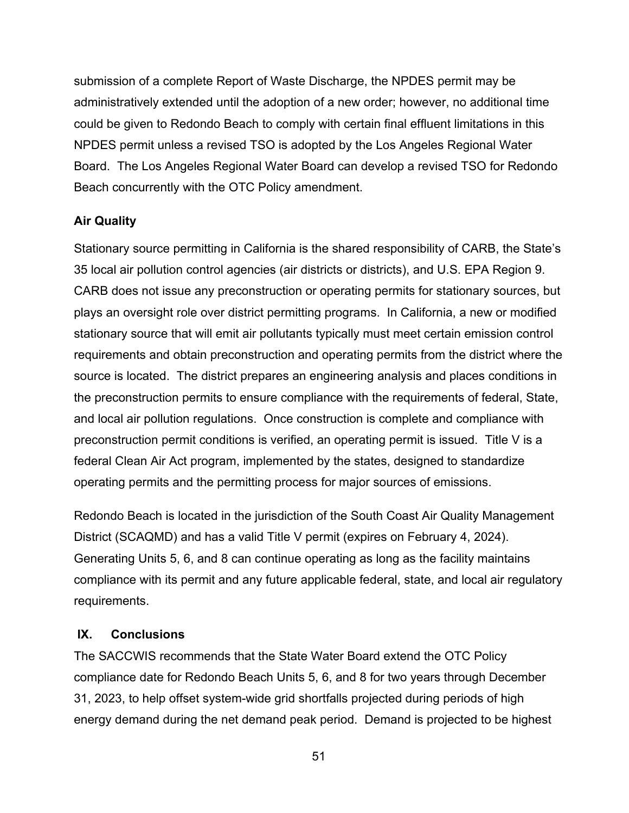submission of a complete Report of Waste Discharge, the NPDES permit may be administratively extended until the adoption of a new order; however, no additional time could be given to Redondo Beach to comply with certain final effluent limitations in this NPDES permit unless a revised TSO is adopted by the Los Angeles Regional Water Board. The Los Angeles Regional Water Board can develop a revised TSO for Redondo Beach concurrently with the OTC Policy amendment.

## <span id="page-51-0"></span>**Air Quality**

Stationary source permitting in California is the shared responsibility of CARB, the State's 35 local air pollution control agencies (air districts or districts), and U.S. EPA Region 9. CARB does not issue any preconstruction or operating permits for stationary sources, but plays an oversight role over district permitting programs. In California, a new or modified stationary source that will emit air pollutants typically must meet certain emission control requirements and obtain preconstruction and operating permits from the district where the source is located. The district prepares an engineering analysis and places conditions in the preconstruction permits to ensure compliance with the requirements of federal, State, and local air pollution regulations. Once construction is complete and compliance with preconstruction permit conditions is verified, an operating permit is issued. Title V is a federal Clean Air Act program, implemented by the states, designed to standardize operating permits and the permitting process for major sources of emissions.

Redondo Beach is located in the jurisdiction of the South Coast Air Quality Management District (SCAQMD) and has a valid Title V permit (expires on February 4, 2024). Generating Units 5, 6, and 8 can continue operating as long as the facility maintains compliance with its permit and any future applicable federal, state, and local air regulatory requirements.

## <span id="page-51-1"></span>**IX. Conclusions**

The SACCWIS recommends that the State Water Board extend the OTC Policy compliance date for Redondo Beach Units 5, 6, and 8 for two years through December 31, 2023, to help offset system-wide grid shortfalls projected during periods of high energy demand during the net demand peak period. Demand is projected to be highest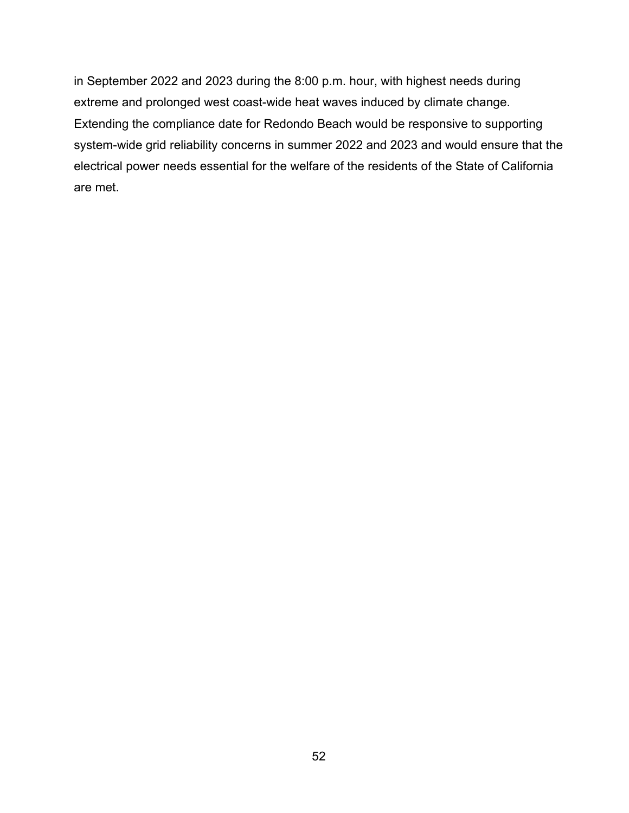in September 2022 and 2023 during the 8:00 p.m. hour, with highest needs during extreme and prolonged west coast-wide heat waves induced by climate change. Extending the compliance date for Redondo Beach would be responsive to supporting system-wide grid reliability concerns in summer 2022 and 2023 and would ensure that the electrical power needs essential for the welfare of the residents of the State of California are met.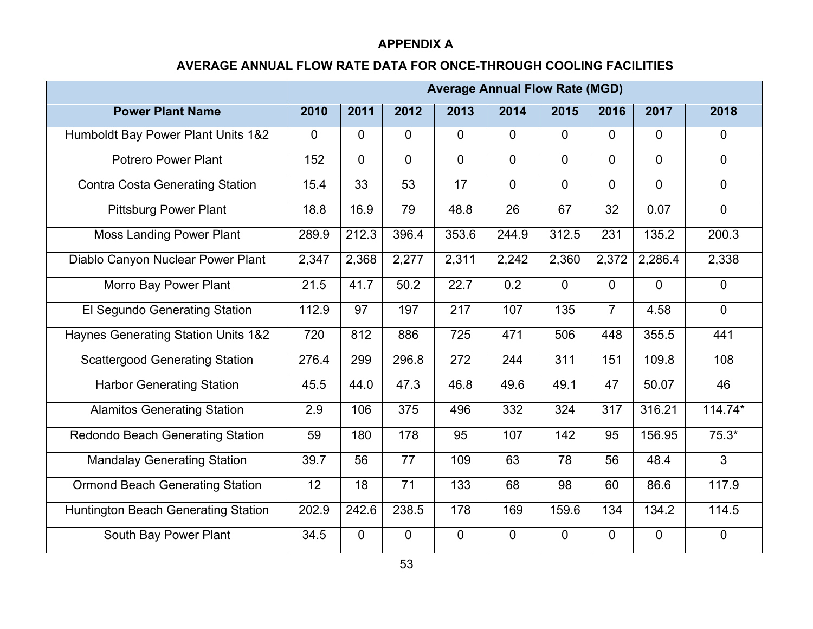#### **APPENDIX A**

#### **AVERAGE ANNUAL FLOW RATE DATA FOR ONCE-THROUGH COOLING FACILITIES**

<span id="page-53-0"></span>

|                                                | <b>Average Annual Flow Rate (MGD)</b> |                |                |                |                |                |                |                |                |
|------------------------------------------------|---------------------------------------|----------------|----------------|----------------|----------------|----------------|----------------|----------------|----------------|
| <b>Power Plant Name</b>                        | 2010                                  | 2011           | 2012           | 2013           | 2014           | 2015           | 2016           | 2017           | 2018           |
| Humboldt Bay Power Plant Units 1&2             | $\Omega$                              | $\Omega$       | $\overline{0}$ | 0              | $\overline{0}$ | $\Omega$       | $\Omega$       | $\mathbf{0}$   | $\mathbf 0$    |
| <b>Potrero Power Plant</b>                     | 152                                   | $\overline{0}$ | $\overline{0}$ | $\overline{0}$ | $\overline{0}$ | $\overline{0}$ | $\overline{0}$ | $\mathbf{0}$   | $\mathbf 0$    |
| <b>Contra Costa Generating Station</b>         | 15.4                                  | 33             | 53             | 17             | $\overline{0}$ | $\overline{0}$ | $\overline{0}$ | $\overline{0}$ | $\overline{0}$ |
| <b>Pittsburg Power Plant</b>                   | 18.8                                  | 16.9           | 79             | 48.8           | 26             | 67             | 32             | 0.07           | $\overline{0}$ |
| <b>Moss Landing Power Plant</b>                | 289.9                                 | 212.3          | 396.4          | 353.6          | 244.9          | 312.5          | 231            | 135.2          | 200.3          |
| Diablo Canyon Nuclear Power Plant              | 2,347                                 | 2,368          | 2,277          | 2,311          | 2,242          | 2,360          | 2,372          | 2,286.4        | 2,338          |
| <b>Morro Bay Power Plant</b>                   | 21.5                                  | 41.7           | 50.2           | 22.7           | 0.2            | $\overline{0}$ | $\overline{0}$ | $\overline{0}$ | $\overline{0}$ |
| El Segundo Generating Station                  | 112.9                                 | 97             | 197            | 217            | 107            | 135            | $\overline{7}$ | 4.58           | $\Omega$       |
| <b>Haynes Generating Station Units 1&amp;2</b> | 720                                   | 812            | 886            | 725            | 471            | 506            | 448            | 355.5          | 441            |
| <b>Scattergood Generating Station</b>          | 276.4                                 | 299            | 296.8          | 272            | 244            | 311            | 151            | 109.8          | 108            |
| <b>Harbor Generating Station</b>               | 45.5                                  | 44.0           | 47.3           | 46.8           | 49.6           | 49.1           | 47             | 50.07          | 46             |
| <b>Alamitos Generating Station</b>             | 2.9                                   | 106            | 375            | 496            | 332            | 324            | 317            | 316.21         | 114.74*        |
| <b>Redondo Beach Generating Station</b>        | 59                                    | 180            | 178            | 95             | 107            | 142            | 95             | 156.95         | $75.3*$        |
| <b>Mandalay Generating Station</b>             | 39.7                                  | 56             | 77             | 109            | 63             | 78             | 56             | 48.4           | $\overline{3}$ |
| <b>Ormond Beach Generating Station</b>         | 12                                    | 18             | 71             | 133            | 68             | 98             | 60             | 86.6           | 117.9          |
| <b>Huntington Beach Generating Station</b>     | 202.9                                 | 242.6          | 238.5          | 178            | 169            | 159.6          | 134            | 134.2          | 114.5          |
| South Bay Power Plant                          | 34.5                                  | $\overline{0}$ | $\overline{0}$ | $\overline{0}$ | $\mathbf 0$    | $\mathbf 0$    | $\mathbf 0$    | $\mathbf 0$    | $\overline{0}$ |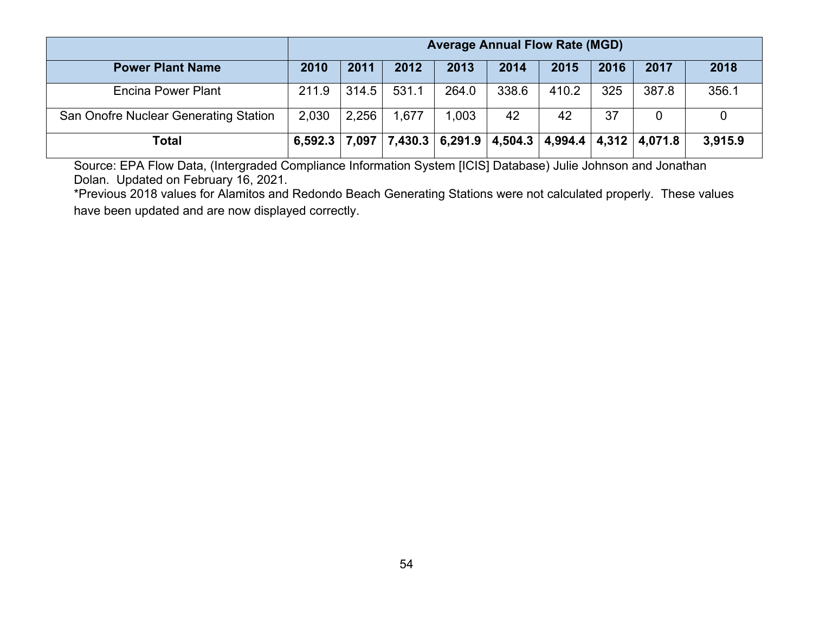|                                       | <b>Average Annual Flow Rate (MGD)</b> |       |       |       |                                                           |       |      |       |         |
|---------------------------------------|---------------------------------------|-------|-------|-------|-----------------------------------------------------------|-------|------|-------|---------|
| <b>Power Plant Name</b>               | 2010                                  | 2011  | 2012  | 2013  | 2014                                                      | 2015  | 2016 | 2017  | 2018    |
| <b>Encina Power Plant</b>             | 211.9                                 | 314.5 | 531.1 | 264.0 | 338.6                                                     | 410.2 | 325  | 387.8 | 356.1   |
| San Onofre Nuclear Generating Station | 2,030                                 | 2,256 | 1,677 | 1,003 | 42                                                        | 42    | 37   |       |         |
| Total                                 | 6,592.3                               | 7.097 |       |       | $7,430.3$   6,291.9   4,504.3   4,994.4   4,312   4,071.8 |       |      |       | 3,915.9 |

Source: EPA Flow Data, (Intergraded Compliance Information System [ICIS] Database) Julie Johnson and Jonathan Dolan. Updated on February 16, 2021.

\*Previous 2018 values for Alamitos and Redondo Beach Generating Stations were not calculated properly. These values have been updated and are now displayed correctly.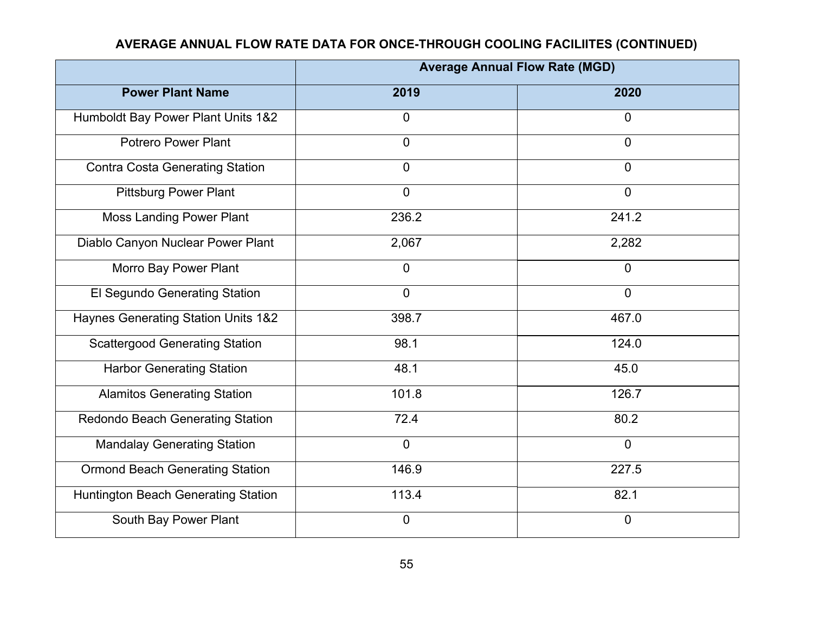# **AVERAGE ANNUAL FLOW RATE DATA FOR ONCE-THROUGH COOLING FACILIITES (CONTINUED)**

|                                            | <b>Average Annual Flow Rate (MGD)</b> |                |  |  |  |  |
|--------------------------------------------|---------------------------------------|----------------|--|--|--|--|
| <b>Power Plant Name</b>                    | 2019                                  | 2020           |  |  |  |  |
| Humboldt Bay Power Plant Units 1&2         | $\overline{0}$                        | $\mathbf 0$    |  |  |  |  |
| <b>Potrero Power Plant</b>                 | $\overline{0}$                        | $\Omega$       |  |  |  |  |
| <b>Contra Costa Generating Station</b>     | $\overline{0}$                        | $\overline{0}$ |  |  |  |  |
| <b>Pittsburg Power Plant</b>               | $\overline{0}$                        | $\overline{0}$ |  |  |  |  |
| <b>Moss Landing Power Plant</b>            | 236.2                                 | 241.2          |  |  |  |  |
| Diablo Canyon Nuclear Power Plant          | 2,067                                 | 2,282          |  |  |  |  |
| Morro Bay Power Plant                      | $\overline{0}$                        | $\mathbf 0$    |  |  |  |  |
| El Segundo Generating Station              | $\overline{0}$                        | $\mathbf 0$    |  |  |  |  |
| Haynes Generating Station Units 1&2        | 398.7                                 | 467.0          |  |  |  |  |
| <b>Scattergood Generating Station</b>      | 98.1                                  | 124.0          |  |  |  |  |
| <b>Harbor Generating Station</b>           | 48.1                                  | 45.0           |  |  |  |  |
| <b>Alamitos Generating Station</b>         | 101.8                                 | 126.7          |  |  |  |  |
| Redondo Beach Generating Station           | 72.4                                  | 80.2           |  |  |  |  |
| <b>Mandalay Generating Station</b>         | $\mathbf 0$                           | $\mathbf 0$    |  |  |  |  |
| <b>Ormond Beach Generating Station</b>     | 146.9                                 | 227.5          |  |  |  |  |
| <b>Huntington Beach Generating Station</b> | 113.4                                 | 82.1           |  |  |  |  |
| South Bay Power Plant                      | $\overline{0}$                        | $\overline{0}$ |  |  |  |  |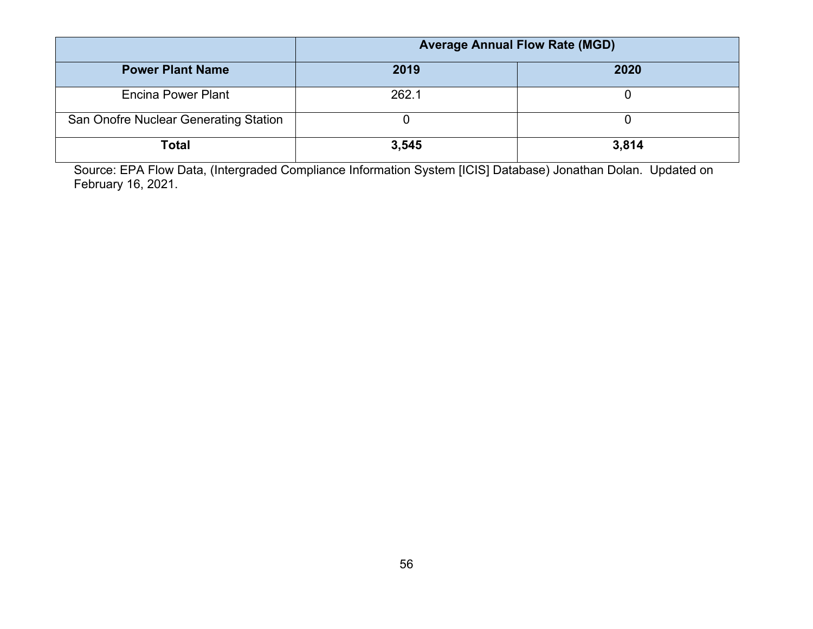|                                       | <b>Average Annual Flow Rate (MGD)</b> |       |
|---------------------------------------|---------------------------------------|-------|
| <b>Power Plant Name</b>               | 2019                                  | 2020  |
| Encina Power Plant                    | 262.1                                 |       |
| San Onofre Nuclear Generating Station |                                       |       |
| Total                                 | 3,545                                 | 3,814 |

Source: EPA Flow Data, (Intergraded Compliance Information System [ICIS] Database) Jonathan Dolan. Updated on February 16, 2021.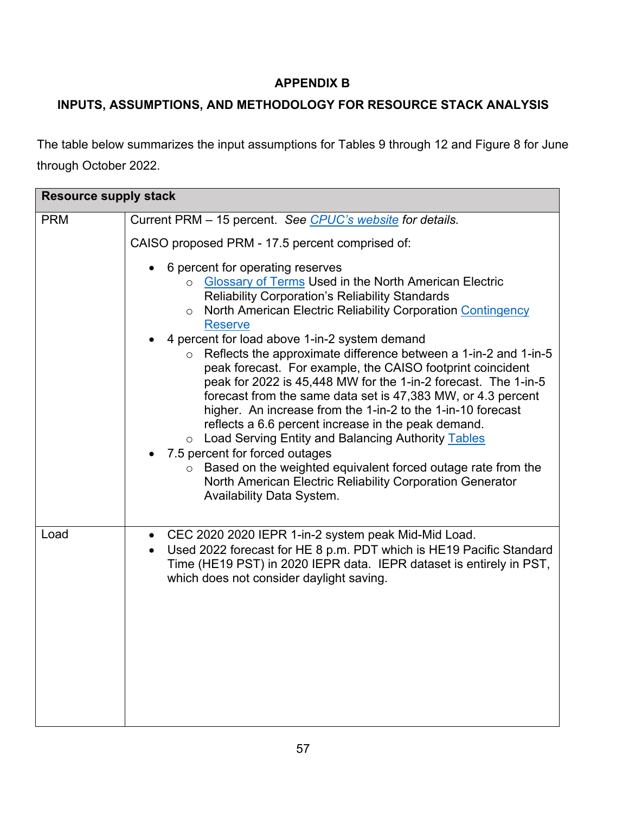# **APPENDIX B**

# <span id="page-57-0"></span>**INPUTS, ASSUMPTIONS, AND METHODOLOGY FOR RESOURCE STACK ANALYSIS**

The table below summarizes the input assumptions for Tables 9 through 12 and Figure 8 for June through October 2022.

| <b>Resource supply stack</b> |                                                                                                                                                                                                                                                                                                                                                                                                                                                                                                                                                                                                                                                                                                                                                                                                                                                                                                                                                                              |  |
|------------------------------|------------------------------------------------------------------------------------------------------------------------------------------------------------------------------------------------------------------------------------------------------------------------------------------------------------------------------------------------------------------------------------------------------------------------------------------------------------------------------------------------------------------------------------------------------------------------------------------------------------------------------------------------------------------------------------------------------------------------------------------------------------------------------------------------------------------------------------------------------------------------------------------------------------------------------------------------------------------------------|--|
| <b>PRM</b>                   | Current PRM - 15 percent. See CPUC's website for details.                                                                                                                                                                                                                                                                                                                                                                                                                                                                                                                                                                                                                                                                                                                                                                                                                                                                                                                    |  |
|                              | CAISO proposed PRM - 17.5 percent comprised of:                                                                                                                                                                                                                                                                                                                                                                                                                                                                                                                                                                                                                                                                                                                                                                                                                                                                                                                              |  |
|                              | 6 percent for operating reserves<br>o Glossary of Terms Used in the North American Electric<br><b>Reliability Corporation's Reliability Standards</b><br>North American Electric Reliability Corporation Contingency<br>$\circ$<br><b>Reserve</b><br>4 percent for load above 1-in-2 system demand<br>Reflects the approximate difference between a 1-in-2 and 1-in-5<br>$\circ$<br>peak forecast. For example, the CAISO footprint coincident<br>peak for 2022 is 45,448 MW for the 1-in-2 forecast. The 1-in-5<br>forecast from the same data set is 47,383 MW, or 4.3 percent<br>higher. An increase from the 1-in-2 to the 1-in-10 forecast<br>reflects a 6.6 percent increase in the peak demand.<br>o Load Serving Entity and Balancing Authority Tables<br>7.5 percent for forced outages<br>Based on the weighted equivalent forced outage rate from the<br>$\circ$<br>North American Electric Reliability Corporation Generator<br><b>Availability Data System.</b> |  |
| Load                         | CEC 2020 2020 IEPR 1-in-2 system peak Mid-Mid Load.<br>Used 2022 forecast for HE 8 p.m. PDT which is HE19 Pacific Standard<br>Time (HE19 PST) in 2020 IEPR data. IEPR dataset is entirely in PST,<br>which does not consider daylight saving.                                                                                                                                                                                                                                                                                                                                                                                                                                                                                                                                                                                                                                                                                                                                |  |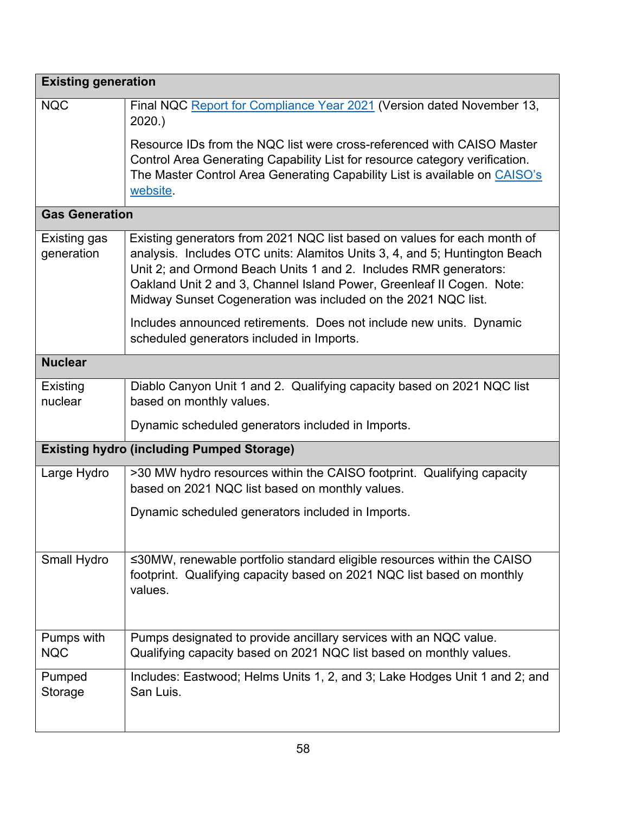| <b>Existing generation</b>                       |                                                                                                                                                                                                                                                                                                                                                                      |  |
|--------------------------------------------------|----------------------------------------------------------------------------------------------------------------------------------------------------------------------------------------------------------------------------------------------------------------------------------------------------------------------------------------------------------------------|--|
| <b>NQC</b>                                       | Final NQC Report for Compliance Year 2021 (Version dated November 13,<br>2020.                                                                                                                                                                                                                                                                                       |  |
|                                                  | Resource IDs from the NQC list were cross-referenced with CAISO Master<br>Control Area Generating Capability List for resource category verification.<br>The Master Control Area Generating Capability List is available on CAISO's<br>website.                                                                                                                      |  |
| <b>Gas Generation</b>                            |                                                                                                                                                                                                                                                                                                                                                                      |  |
| Existing gas<br>generation                       | Existing generators from 2021 NQC list based on values for each month of<br>analysis. Includes OTC units: Alamitos Units 3, 4, and 5; Huntington Beach<br>Unit 2; and Ormond Beach Units 1 and 2. Includes RMR generators:<br>Oakland Unit 2 and 3, Channel Island Power, Greenleaf II Cogen. Note:<br>Midway Sunset Cogeneration was included on the 2021 NQC list. |  |
|                                                  | Includes announced retirements. Does not include new units. Dynamic<br>scheduled generators included in Imports.                                                                                                                                                                                                                                                     |  |
| <b>Nuclear</b>                                   |                                                                                                                                                                                                                                                                                                                                                                      |  |
| Existing<br>nuclear                              | Diablo Canyon Unit 1 and 2. Qualifying capacity based on 2021 NQC list<br>based on monthly values.                                                                                                                                                                                                                                                                   |  |
|                                                  | Dynamic scheduled generators included in Imports.                                                                                                                                                                                                                                                                                                                    |  |
| <b>Existing hydro (including Pumped Storage)</b> |                                                                                                                                                                                                                                                                                                                                                                      |  |
| Large Hydro                                      | >30 MW hydro resources within the CAISO footprint. Qualifying capacity<br>based on 2021 NQC list based on monthly values.                                                                                                                                                                                                                                            |  |
|                                                  | Dynamic scheduled generators included in Imports.                                                                                                                                                                                                                                                                                                                    |  |
| Small Hydro                                      | ≤30MW, renewable portfolio standard eligible resources within the CAISO<br>footprint. Qualifying capacity based on 2021 NQC list based on monthly<br>values.                                                                                                                                                                                                         |  |
| Pumps with<br><b>NQC</b>                         | Pumps designated to provide ancillary services with an NQC value.<br>Qualifying capacity based on 2021 NQC list based on monthly values.                                                                                                                                                                                                                             |  |
| Pumped<br>Storage                                | Includes: Eastwood; Helms Units 1, 2, and 3; Lake Hodges Unit 1 and 2; and<br>San Luis.                                                                                                                                                                                                                                                                              |  |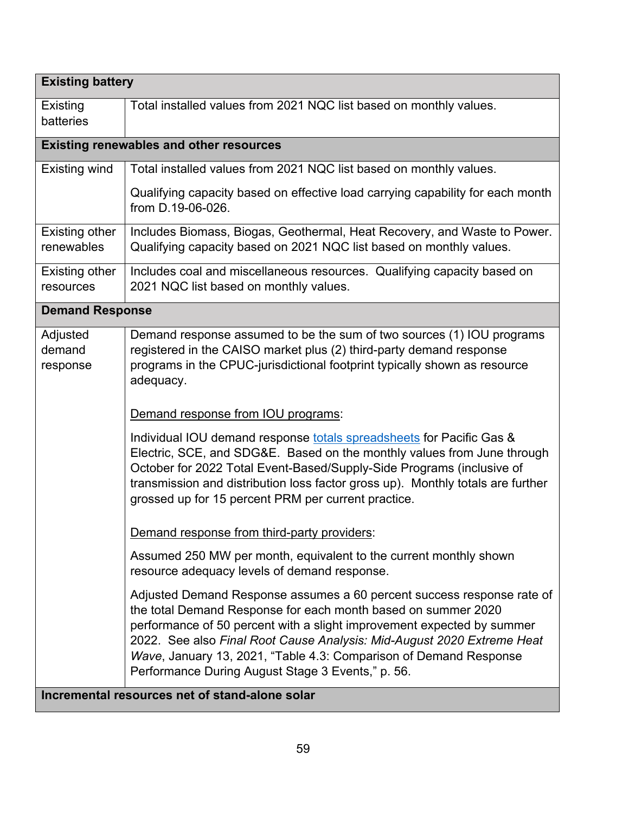| <b>Existing battery</b>                        |                                                                                                                                                                                                                                                                                                                                                                                                                       |  |
|------------------------------------------------|-----------------------------------------------------------------------------------------------------------------------------------------------------------------------------------------------------------------------------------------------------------------------------------------------------------------------------------------------------------------------------------------------------------------------|--|
| Existing<br>batteries                          | Total installed values from 2021 NQC list based on monthly values.                                                                                                                                                                                                                                                                                                                                                    |  |
| <b>Existing renewables and other resources</b> |                                                                                                                                                                                                                                                                                                                                                                                                                       |  |
| Existing wind                                  | Total installed values from 2021 NQC list based on monthly values.                                                                                                                                                                                                                                                                                                                                                    |  |
|                                                | Qualifying capacity based on effective load carrying capability for each month<br>from D.19-06-026.                                                                                                                                                                                                                                                                                                                   |  |
| <b>Existing other</b><br>renewables            | Includes Biomass, Biogas, Geothermal, Heat Recovery, and Waste to Power.<br>Qualifying capacity based on 2021 NQC list based on monthly values.                                                                                                                                                                                                                                                                       |  |
| <b>Existing other</b><br>resources             | Includes coal and miscellaneous resources. Qualifying capacity based on<br>2021 NQC list based on monthly values.                                                                                                                                                                                                                                                                                                     |  |
| <b>Demand Response</b>                         |                                                                                                                                                                                                                                                                                                                                                                                                                       |  |
| Adjusted<br>demand<br>response                 | Demand response assumed to be the sum of two sources (1) IOU programs<br>registered in the CAISO market plus (2) third-party demand response<br>programs in the CPUC-jurisdictional footprint typically shown as resource<br>adequacy.                                                                                                                                                                                |  |
|                                                | Demand response from IOU programs:                                                                                                                                                                                                                                                                                                                                                                                    |  |
|                                                | Individual IOU demand response totals spreadsheets for Pacific Gas &<br>Electric, SCE, and SDG&E. Based on the monthly values from June through<br>October for 2022 Total Event-Based/Supply-Side Programs (inclusive of<br>transmission and distribution loss factor gross up). Monthly totals are further<br>grossed up for 15 percent PRM per current practice.                                                    |  |
|                                                | Demand response from third-party providers:                                                                                                                                                                                                                                                                                                                                                                           |  |
|                                                | Assumed 250 MW per month, equivalent to the current monthly shown<br>resource adequacy levels of demand response.                                                                                                                                                                                                                                                                                                     |  |
|                                                | Adjusted Demand Response assumes a 60 percent success response rate of<br>the total Demand Response for each month based on summer 2020<br>performance of 50 percent with a slight improvement expected by summer<br>2022. See also Final Root Cause Analysis: Mid-August 2020 Extreme Heat<br>Wave, January 13, 2021, "Table 4.3: Comparison of Demand Response<br>Performance During August Stage 3 Events," p. 56. |  |
|                                                | Incremental resources net of stand-alone solar                                                                                                                                                                                                                                                                                                                                                                        |  |